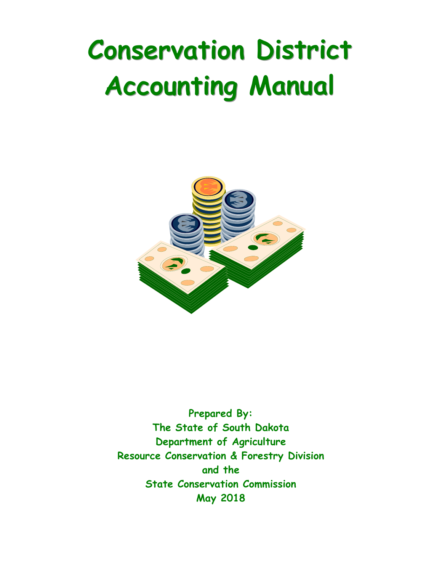## **Conservation District Accounting Manual**



**Prepared By: The State of South Dakota Department of Agriculture Resource Conservation & Forestry Division and the State Conservation Commission May 2018**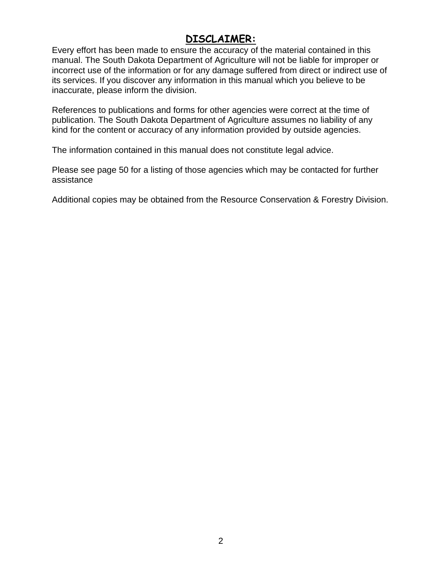#### **DISCLAIMER:**

Every effort has been made to ensure the accuracy of the material contained in this manual. The South Dakota Department of Agriculture will not be liable for improper or incorrect use of the information or for any damage suffered from direct or indirect use of its services. If you discover any information in this manual which you believe to be inaccurate, please inform the division.

References to publications and forms for other agencies were correct at the time of publication. The South Dakota Department of Agriculture assumes no liability of any kind for the content or accuracy of any information provided by outside agencies.

The information contained in this manual does not constitute legal advice.

Please see page 50 for a listing of those agencies which may be contacted for further assistance

Additional copies may be obtained from the Resource Conservation & Forestry Division.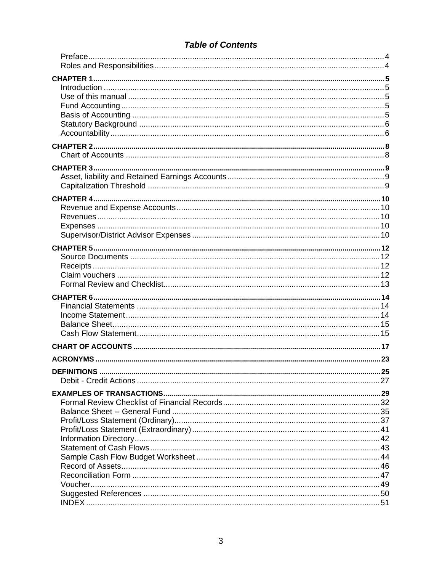#### **Table of Contents**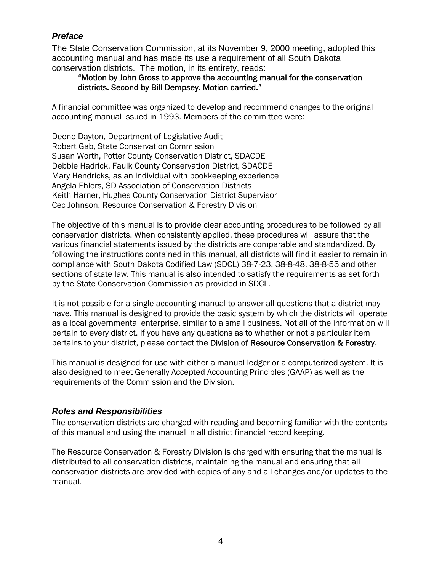#### *Preface*

The State Conservation Commission, at its November 9, 2000 meeting, adopted this accounting manual and has made its use a requirement of all South Dakota conservation districts. The motion, in its entirety, reads:

#### "Motion by John Gross to approve the accounting manual for the conservation districts. Second by Bill Dempsey. Motion carried."

A financial committee was organized to develop and recommend changes to the original accounting manual issued in 1993. Members of the committee were:

Deene Dayton, Department of Legislative Audit Robert Gab, State Conservation Commission Susan Worth, Potter County Conservation District, SDACDE Debbie Hadrick, Faulk County Conservation District, SDACDE Mary Hendricks, as an individual with bookkeeping experience Angela Ehlers, SD Association of Conservation Districts Keith Harner, Hughes County Conservation District Supervisor Cec Johnson, Resource Conservation & Forestry Division

The objective of this manual is to provide clear accounting procedures to be followed by all conservation districts. When consistently applied, these procedures will assure that the various financial statements issued by the districts are comparable and standardized. By following the instructions contained in this manual, all districts will find it easier to remain in compliance with South Dakota Codified Law (SDCL) 38-7-23, 38-8-48, 38-8-55 and other sections of state law. This manual is also intended to satisfy the requirements as set forth by the State Conservation Commission as provided in SDCL.

It is not possible for a single accounting manual to answer all questions that a district may have. This manual is designed to provide the basic system by which the districts will operate as a local governmental enterprise, similar to a small business. Not all of the information will pertain to every district. If you have any questions as to whether or not a particular item pertains to your district, please contact the Division of Resource Conservation & Forestry.

This manual is designed for use with either a manual ledger or a computerized system. It is also designed to meet Generally Accepted Accounting Principles (GAAP) as well as the requirements of the Commission and the Division.

#### *Roles and Responsibilities*

The conservation districts are charged with reading and becoming familiar with the contents of this manual and using the manual in all district financial record keeping.

The Resource Conservation & Forestry Division is charged with ensuring that the manual is distributed to all conservation districts, maintaining the manual and ensuring that all conservation districts are provided with copies of any and all changes and/or updates to the manual.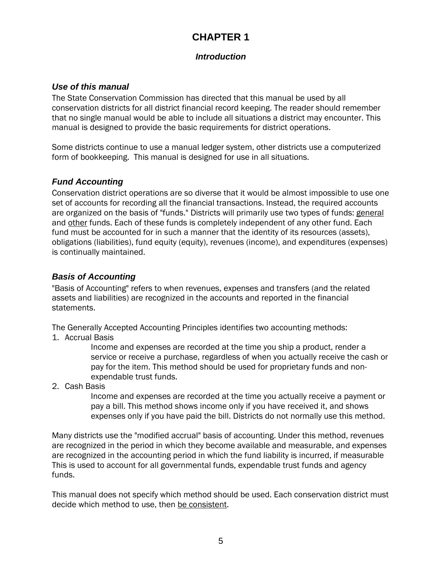### **CHAPTER 1**

#### *Introduction*

#### *Use of this manual*

The State Conservation Commission has directed that this manual be used by all conservation districts for all district financial record keeping. The reader should remember that no single manual would be able to include all situations a district may encounter. This manual is designed to provide the basic requirements for district operations.

Some districts continue to use a manual ledger system, other districts use a computerized form of bookkeeping. This manual is designed for use in all situations.

#### *Fund Accounting*

Conservation district operations are so diverse that it would be almost impossible to use one set of accounts for recording all the financial transactions. Instead, the required accounts are organized on the basis of "funds." Districts will primarily use two types of funds: general and other funds. Each of these funds is completely independent of any other fund. Each fund must be accounted for in such a manner that the identity of its resources (assets), obligations (liabilities), fund equity (equity), revenues (income), and expenditures (expenses) is continually maintained.

#### *Basis of Accounting*

"Basis of Accounting" refers to when revenues, expenses and transfers (and the related assets and liabilities) are recognized in the accounts and reported in the financial statements.

The Generally Accepted Accounting Principles identifies two accounting methods:

1. Accrual Basis

Income and expenses are recorded at the time you ship a product, render a service or receive a purchase, regardless of when you actually receive the cash or pay for the item. This method should be used for proprietary funds and nonexpendable trust funds.

2. Cash Basis

Income and expenses are recorded at the time you actually receive a payment or pay a bill. This method shows income only if you have received it, and shows expenses only if you have paid the bill. Districts do not normally use this method.

Many districts use the "modified accrual" basis of accounting. Under this method, revenues are recognized in the period in which they become available and measurable, and expenses are recognized in the accounting period in which the fund liability is incurred, if measurable This is used to account for all governmental funds, expendable trust funds and agency funds.

This manual does not specify which method should be used. Each conservation district must decide which method to use, then be consistent.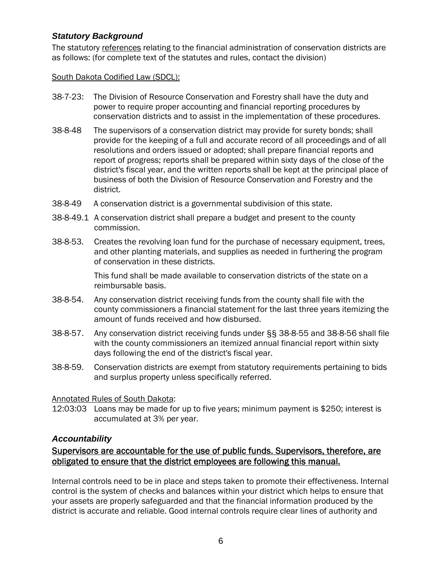#### *Statutory Background*

The statutory references relating to the financial administration of conservation districts are as follows: (for complete text of the statutes and rules, contact the division)

#### South Dakota Codified Law (SDCL):

- 38-7-23: The Division of Resource Conservation and Forestry shall have the duty and power to require proper accounting and financial reporting procedures by conservation districts and to assist in the implementation of these procedures.
- 38-8-48 The supervisors of a conservation district may provide for surety bonds; shall provide for the keeping of a full and accurate record of all proceedings and of all resolutions and orders issued or adopted; shall prepare financial reports and report of progress; reports shall be prepared within sixty days of the close of the district's fiscal year, and the written reports shall be kept at the principal place of business of both the Division of Resource Conservation and Forestry and the district.
- 38-8-49 A conservation district is a governmental subdivision of this state.
- 38-8-49.1 A conservation district shall prepare a budget and present to the county commission.
- 38-8-53. Creates the revolving loan fund for the purchase of necessary equipment, trees, and other planting materials, and supplies as needed in furthering the program of conservation in these districts.

This fund shall be made available to conservation districts of the state on a reimbursable basis.

- 38-8-54. Any conservation district receiving funds from the county shall file with the county commissioners a financial statement for the last three years itemizing the amount of funds received and how disbursed.
- 38-8-57. Any conservation district receiving funds under §§ 38-8-55 and 38-8-56 shall file with the county commissioners an itemized annual financial report within sixty days following the end of the district's fiscal year.
- 38-8-59. Conservation districts are exempt from statutory requirements pertaining to bids and surplus property unless specifically referred.

#### Annotated Rules of South Dakota:

12:03:03 Loans may be made for up to five years; minimum payment is \$250; interest is accumulated at 3% per year.

#### *Accountability*

#### Supervisors are accountable for the use of public funds. Supervisors, therefore, are obligated to ensure that the district employees are following this manual.

Internal controls need to be in place and steps taken to promote their effectiveness. Internal control is the system of checks and balances within your district which helps to ensure that your assets are properly safeguarded and that the financial information produced by the district is accurate and reliable. Good internal controls require clear lines of authority and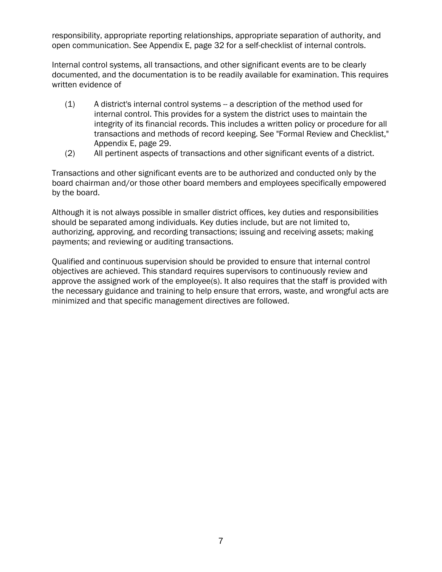responsibility, appropriate reporting relationships, appropriate separation of authority, and open communication. See Appendix E, page 32 for a self-checklist of internal controls.

Internal control systems, all transactions, and other significant events are to be clearly documented, and the documentation is to be readily available for examination. This requires written evidence of

- (1) A district's internal control systems -- a description of the method used for internal control. This provides for a system the district uses to maintain the integrity of its financial records. This includes a written policy or procedure for all transactions and methods of record keeping. See "Formal Review and Checklist," Appendix E, page 29.
- (2) All pertinent aspects of transactions and other significant events of a district.

Transactions and other significant events are to be authorized and conducted only by the board chairman and/or those other board members and employees specifically empowered by the board.

Although it is not always possible in smaller district offices, key duties and responsibilities should be separated among individuals. Key duties include, but are not limited to, authorizing, approving, and recording transactions; issuing and receiving assets; making payments; and reviewing or auditing transactions.

Qualified and continuous supervision should be provided to ensure that internal control objectives are achieved. This standard requires supervisors to continuously review and approve the assigned work of the employee(s). It also requires that the staff is provided with the necessary guidance and training to help ensure that errors, waste, and wrongful acts are minimized and that specific management directives are followed.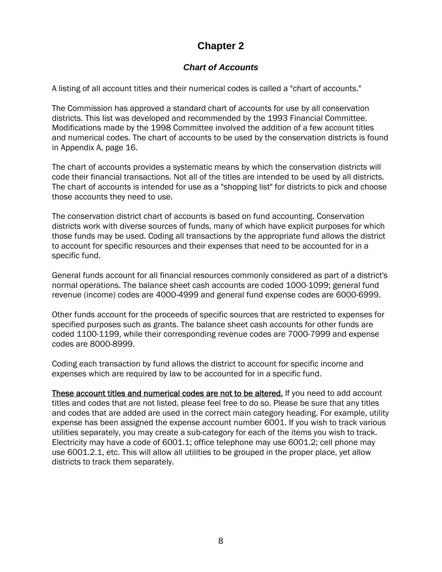#### **Chapter 2**

#### *Chart of Accounts*

A listing of all account titles and their numerical codes is called a "chart of accounts."

The Commission has approved a standard chart of accounts for use by all conservation districts. This list was developed and recommended by the 1993 Financial Committee. Modifications made by the 1998 Committee involved the addition of a few account titles and numerical codes. The chart of accounts to be used by the conservation districts is found in Appendix A, page 16.

The chart of accounts provides a systematic means by which the conservation districts will code their financial transactions. Not all of the titles are intended to be used by all districts. The chart of accounts is intended for use as a "shopping list" for districts to pick and choose those accounts they need to use.

The conservation district chart of accounts is based on fund accounting. Conservation districts work with diverse sources of funds, many of which have explicit purposes for which those funds may be used. Coding all transactions by the appropriate fund allows the district to account for specific resources and their expenses that need to be accounted for in a specific fund.

General funds account for all financial resources commonly considered as part of a district's normal operations. The balance sheet cash accounts are coded 1000-1099; general fund revenue (income) codes are 4000-4999 and general fund expense codes are 6000-6999.

Other funds account for the proceeds of specific sources that are restricted to expenses for specified purposes such as grants. The balance sheet cash accounts for other funds are coded 1100-1199, while their corresponding revenue codes are 7000-7999 and expense codes are 8000-8999.

Coding each transaction by fund allows the district to account for specific income and expenses which are required by law to be accounted for in a specific fund.

These account titles and numerical codes are not to be altered. If you need to add account titles and codes that are not listed, please feel free to do so. Please be sure that any titles and codes that are added are used in the correct main category heading. For example, utility expense has been assigned the expense account number 6001. If you wish to track various utilities separately, you may create a sub-category for each of the items you wish to track. Electricity may have a code of 6001.1; office telephone may use 6001.2; cell phone may use 6001.2.1, etc. This will allow all utilities to be grouped in the proper place, yet allow districts to track them separately.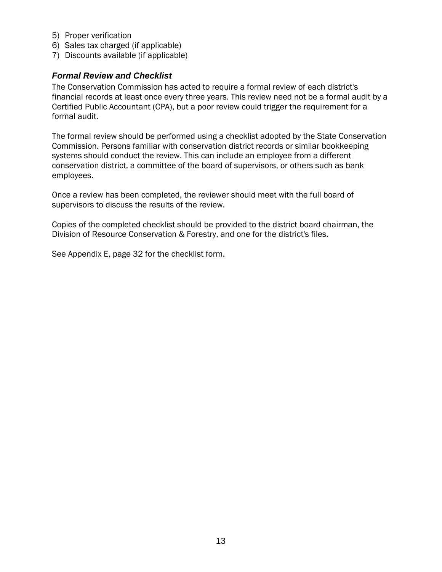- 5) Proper verification
- 6) Sales tax charged (if applicable)
- 7) Discounts available (if applicable)

#### *Formal Review and Checklist*

The Conservation Commission has acted to require a formal review of each district's financial records at least once every three years. This review need not be a formal audit by a Certified Public Accountant (CPA), but a poor review could trigger the requirement for a formal audit.

The formal review should be performed using a checklist adopted by the State Conservation Commission. Persons familiar with conservation district records or similar bookkeeping systems should conduct the review. This can include an employee from a different conservation district, a committee of the board of supervisors, or others such as bank employees.

Once a review has been completed, the reviewer should meet with the full board of supervisors to discuss the results of the review.

Copies of the completed checklist should be provided to the district board chairman, the Division of Resource Conservation & Forestry, and one for the district's files.

See Appendix E, page 32 for the checklist form.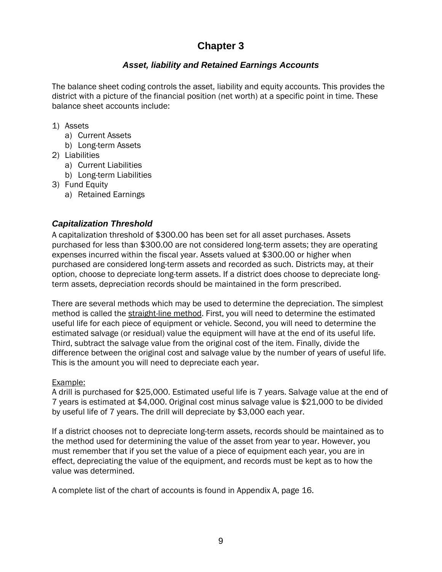#### **Chapter 3**

#### *Asset, liability and Retained Earnings Accounts*

The balance sheet coding controls the asset, liability and equity accounts. This provides the district with a picture of the financial position (net worth) at a specific point in time. These balance sheet accounts include:

- 1) Assets
	- a) Current Assets
	- b) Long-term Assets
- 2) Liabilities
	- a) Current Liabilities
	- b) Long-term Liabilities
- 3) Fund Equity
	- a) Retained Earnings

#### *Capitalization Threshold*

A capitalization threshold of \$300.00 has been set for all asset purchases. Assets purchased for less than \$300.00 are not considered long-term assets; they are operating expenses incurred within the fiscal year. Assets valued at \$300.00 or higher when purchased are considered long-term assets and recorded as such. Districts may, at their option, choose to depreciate long-term assets. If a district does choose to depreciate longterm assets, depreciation records should be maintained in the form prescribed.

There are several methods which may be used to determine the depreciation. The simplest method is called the straight-line method. First, you will need to determine the estimated useful life for each piece of equipment or vehicle. Second, you will need to determine the estimated salvage (or residual) value the equipment will have at the end of its useful life. Third, subtract the salvage value from the original cost of the item. Finally, divide the difference between the original cost and salvage value by the number of years of useful life. This is the amount you will need to depreciate each year.

#### Example:

A drill is purchased for \$25,000. Estimated useful life is 7 years. Salvage value at the end of 7 years is estimated at \$4,000. Original cost minus salvage value is \$21,000 to be divided by useful life of 7 years. The drill will depreciate by \$3,000 each year.

If a district chooses not to depreciate long-term assets, records should be maintained as to the method used for determining the value of the asset from year to year. However, you must remember that if you set the value of a piece of equipment each year, you are in effect, depreciating the value of the equipment, and records must be kept as to how the value was determined.

A complete list of the chart of accounts is found in Appendix A, page 16.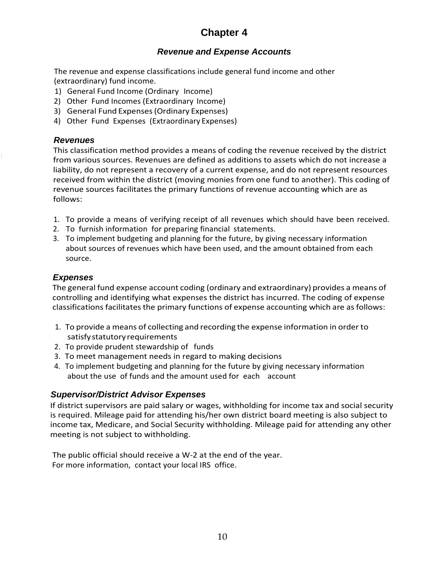## **Chapter 4**

#### *Revenue and Expense Accounts*

The revenue and expense classifications include general fund income and other (extraordinary) fund income.

- 1) General Fund Income (Ordinary Income)
- 2) Other Fund Incomes (Extraordinary Income)
- 3) General Fund Expenses(Ordinary Expenses)
- 4) Other Fund Expenses (Extraordinary Expenses)

#### *Revenues*

This classification method provides a means of coding the revenue received by the district from various sources. Revenues are defined as additions to assets which do not increase a liability, do not represent a recovery of a current expense, and do not represent resources received from within the district (moving monies from one fund to another). This coding of revenue sources facilitates the primary functions of revenue accounting which are as follows:

- 1. To provide a means of verifying receipt of all revenues which should have been received.
- 2. To furnish information for preparing financial statements.
- 3. To implement budgeting and planning for the future, by giving necessary information about sources of revenues which have been used, and the amount obtained from each source.

#### *Expenses*

The general fund expense account coding (ordinary and extraordinary) provides a means of controlling and identifying what expenses the district has incurred. The coding of expense classifications facilitates the primary functions of expense accounting which are asfollows:

- 1. To provide a means of collecting and recording the expense information in order to satisfystatutory requirements
- 2. To provide prudent stewardship of funds
- 3. To meet management needs in regard to making decisions
- 4. To implement budgeting and planning for the future by giving necessary information about the use of funds and the amount used for each account

#### *Supervisor/District Advisor Expenses*

If district supervisors are paid salary or wages, withholding for income tax and social security is required. Mileage paid for attending his/her own district board meeting is also subject to income tax, Medicare, and Social Security withholding. Mileage paid for attending any other meeting is not subject to withholding.

The public official should receive a W-2 at the end of the year. For more information, contact your local IRS office.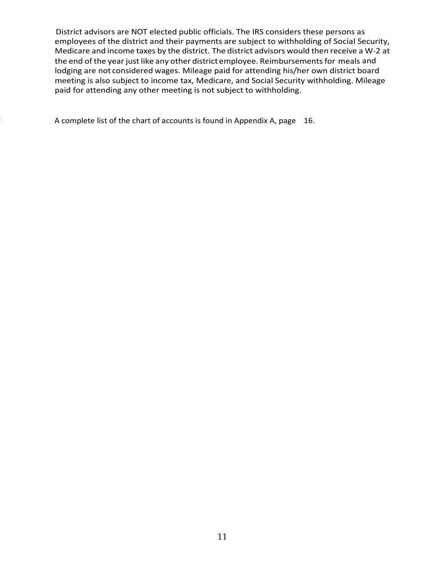District advisors are NOT elected public officials. The IRS considers these persons as employees of the district and their payments are subject to withholding of Social Security, Medicare and income taxes by the district. The district advisors would then receive a W-2 at the end of the year just like any other district employee. Reimbursements for meals and lodging are not considered wages. Mileage paid for attending his/her own district board meeting is also subject to income tax, Medicare, and Social Security withholding. Mileage paid for attending any other meeting is not subject to withholding.

A complete list of the chart of accounts is found in Appendix A, page 16.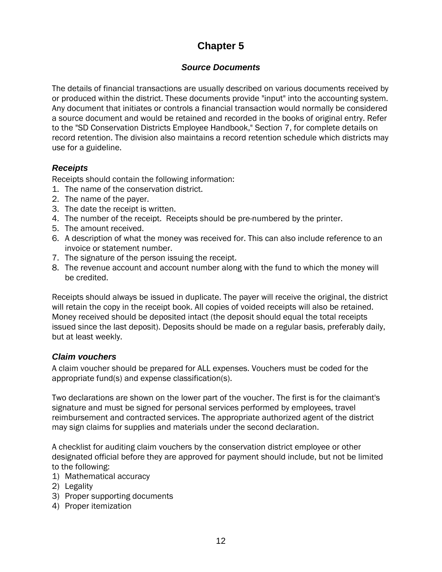#### **Chapter 5**

#### *Source Documents*

The details of financial transactions are usually described on various documents received by or produced within the district. These documents provide "input" into the accounting system. Any document that initiates or controls a financial transaction would normally be considered a source document and would be retained and recorded in the books of original entry. Refer to the "SD Conservation Districts Employee Handbook," Section 7, for complete details on record retention. The division also maintains a record retention schedule which districts may use for a guideline.

#### *Receipts*

Receipts should contain the following information:

- 1. The name of the conservation district.
- 2. The name of the payer.
- 3. The date the receipt is written.
- 4. The number of the receipt. Receipts should be pre-numbered by the printer.
- 5. The amount received.
- 6. A description of what the money was received for. This can also include reference to an invoice or statement number.
- 7. The signature of the person issuing the receipt.
- 8. The revenue account and account number along with the fund to which the money will be credited.

Receipts should always be issued in duplicate. The payer will receive the original, the district will retain the copy in the receipt book. All copies of voided receipts will also be retained. Money received should be deposited intact (the deposit should equal the total receipts issued since the last deposit). Deposits should be made on a regular basis, preferably daily, but at least weekly.

#### *Claim vouchers*

A claim voucher should be prepared for ALL expenses. Vouchers must be coded for the appropriate fund(s) and expense classification(s).

Two declarations are shown on the lower part of the voucher. The first is for the claimant's signature and must be signed for personal services performed by employees, travel reimbursement and contracted services. The appropriate authorized agent of the district may sign claims for supplies and materials under the second declaration.

A checklist for auditing claim vouchers by the conservation district employee or other designated official before they are approved for payment should include, but not be limited to the following:

- 1) Mathematical accuracy
- 2) Legality
- 3) Proper supporting documents
- 4) Proper itemization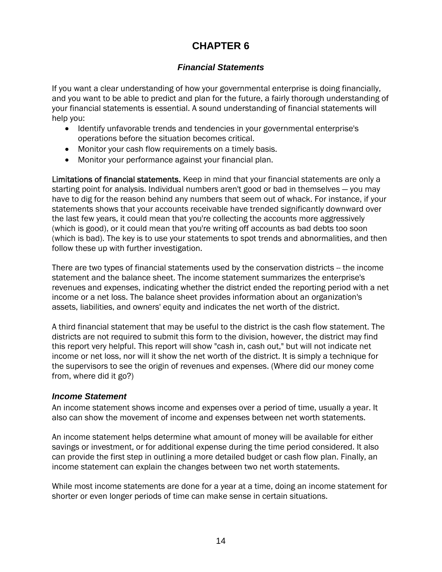#### **CHAPTER 6**

#### *Financial Statements*

If you want a clear understanding of how your governmental enterprise is doing financially, and you want to be able to predict and plan for the future, a fairly thorough understanding of your financial statements is essential. A sound understanding of financial statements will help you:

- Identify unfavorable trends and tendencies in your governmental enterprise's operations before the situation becomes critical.
- Monitor your cash flow requirements on a timely basis.
- Monitor your performance against your financial plan.

Limitations of financial statements. Keep in mind that your financial statements are only a starting point for analysis. Individual numbers aren't good or bad in themselves — you may have to dig for the reason behind any numbers that seem out of whack. For instance, if your statements shows that your accounts receivable have trended significantly downward over the last few years, it could mean that you're collecting the accounts more aggressively (which is good), or it could mean that you're writing off accounts as bad debts too soon (which is bad). The key is to use your statements to spot trends and abnormalities, and then follow these up with further investigation.

There are two types of financial statements used by the conservation districts -- the income statement and the balance sheet. The income statement summarizes the enterprise's revenues and expenses, indicating whether the district ended the reporting period with a net income or a net loss. The balance sheet provides information about an organization's assets, liabilities, and owners' equity and indicates the net worth of the district.

A third financial statement that may be useful to the district is the cash flow statement. The districts are not required to submit this form to the division, however, the district may find this report very helpful. This report will show "cash in, cash out," but will not indicate net income or net loss, nor will it show the net worth of the district. It is simply a technique for the supervisors to see the origin of revenues and expenses. (Where did our money come from, where did it go?)

#### *Income Statement*

An income statement shows income and expenses over a period of time, usually a year. It also can show the movement of income and expenses between net worth statements.

An income statement helps determine what amount of money will be available for either savings or investment, or for additional expense during the time period considered. It also can provide the first step in outlining a more detailed budget or cash flow plan. Finally, an income statement can explain the changes between two net worth statements.

While most income statements are done for a year at a time, doing an income statement for shorter or even longer periods of time can make sense in certain situations.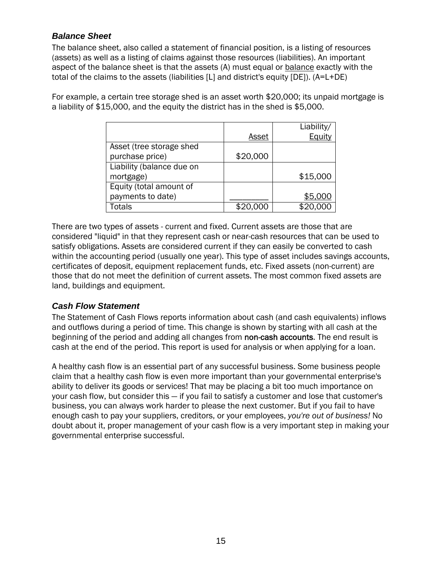#### *Balance Sheet*

The balance sheet, also called a statement of financial position, is a listing of resources (assets) as well as a listing of claims against those resources (liabilities). An important aspect of the balance sheet is that the assets (A) must equal or balance exactly with the total of the claims to the assets (liabilities [L] and district's equity [DE]). (A=L+DE)

For example, a certain tree storage shed is an asset worth \$20,000; its unpaid mortgage is a liability of \$15,000, and the equity the district has in the shed is \$5,000.

|                           |          | Liability/ |
|---------------------------|----------|------------|
|                           | Asset    | Equity     |
| Asset (tree storage shed  |          |            |
| purchase price)           | \$20,000 |            |
| Liability (balance due on |          |            |
| mortgage)                 |          | \$15,000   |
| Equity (total amount of   |          |            |
| payments to date)         |          | \$5,000    |
| Totals                    | \$20,000 |            |

There are two types of assets - current and fixed. Current assets are those that are considered "liquid" in that they represent cash or near-cash resources that can be used to satisfy obligations. Assets are considered current if they can easily be converted to cash within the accounting period (usually one year). This type of asset includes savings accounts, certificates of deposit, equipment replacement funds, etc. Fixed assets (non-current) are those that do not meet the definition of current assets. The most common fixed assets are land, buildings and equipment.

#### *Cash Flow Statement*

The Statement of Cash Flows reports information about cash (and cash equivalents) inflows and outflows during a period of time. This change is shown by starting with all cash at the beginning of the period and adding all changes from non-cash accounts. The end result is cash at the end of the period. This report is used for analysis or when applying for a loan.

A healthy cash flow is an essential part of any successful business. Some business people claim that a healthy cash flow is even more important than your governmental enterprise's ability to deliver its goods or services! That may be placing a bit too much importance on your cash flow, but consider this — if you fail to satisfy a customer and lose that customer's business, you can always work harder to please the next customer. But if you fail to have enough cash to pay your suppliers, creditors, or your employees, *you're out of business!* No doubt about it, proper management of your cash flow is a very important step in making your governmental enterprise successful.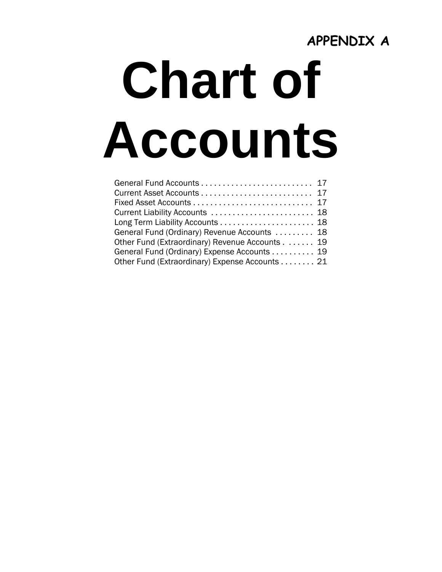## **APPENDIX A**

## **Chart of Accounts**

| Current Liability Accounts  18                 |  |
|------------------------------------------------|--|
|                                                |  |
| General Fund (Ordinary) Revenue Accounts  18   |  |
| Other Fund (Extraordinary) Revenue Accounts 19 |  |
| General Fund (Ordinary) Expense Accounts 19    |  |
| Other Fund (Extraordinary) Expense Accounts 21 |  |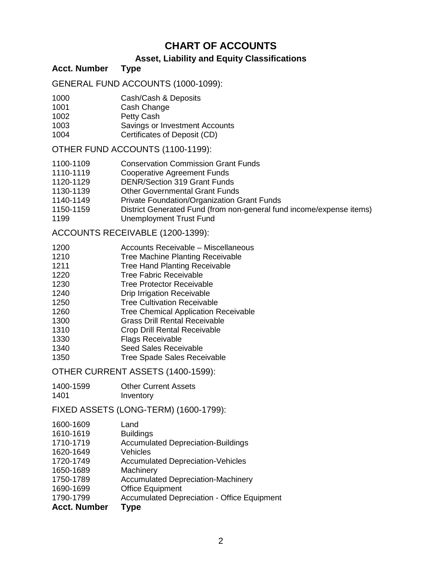#### **CHART OF ACCOUNTS**

#### **Asset, Liability and Equity Classifications**

**Acct. Number Type**

GENERAL FUND ACCOUNTS (1000-1099):

- 1000 Cash/Cash & Deposits
- 1001 Cash Change
- 1002 Petty Cash
- 1003 Savings or Investment Accounts
- 1004 Certificates of Deposit (CD)

OTHER FUND ACCOUNTS (1100-1199):

- 1100-1109 Conservation Commission Grant Funds
- 1110-1119 Cooperative Agreement Funds
- 1120-1129 DENR/Section 319 Grant Funds
- 1130-1139 Other Governmental Grant Funds
- 1140-1149 Private Foundation/Organization Grant Funds
- 1150-1159 District Generated Fund (from non-general fund income/expense items)
- 1199 Unemployment Trust Fund

ACCOUNTS RECEIVABLE (1200-1399):

- 1200 Accounts Receivable Miscellaneous
- 1210 Tree Machine Planting Receivable
- 1211 Tree Hand Planting Receivable
- 1220 Tree Fabric Receivable
- 1230 Tree Protector Receivable
- 1240 Drip Irrigation Receivable
- 1250 Tree Cultivation Receivable
- 1260 Tree Chemical Application Receivable
- 1300 Grass Drill Rental Receivable
- 1310 Crop Drill Rental Receivable
- 1330 Flags Receivable
- 1340 Seed Sales Receivable
- 1350 Tree Spade Sales Receivable

OTHER CURRENT ASSETS (1400-1599):

- 1400-1599 Other Current Assets
- 1401 **Inventory**

FIXED ASSETS (LONG-TERM) (1600-1799):

| <b>Acct. Number</b> | Type                                               |
|---------------------|----------------------------------------------------|
| 1790-1799           | <b>Accumulated Depreciation - Office Equipment</b> |
| 1690-1699           | <b>Office Equipment</b>                            |
| 1750-1789           | <b>Accumulated Depreciation-Machinery</b>          |
| 1650-1689           | Machinery                                          |
| 1720-1749           | <b>Accumulated Depreciation-Vehicles</b>           |
| 1620-1649           | Vehicles                                           |
| 1710-1719           | <b>Accumulated Depreciation-Buildings</b>          |
| 1610-1619           | <b>Buildings</b>                                   |
| 1600-1609           | Land                                               |
|                     |                                                    |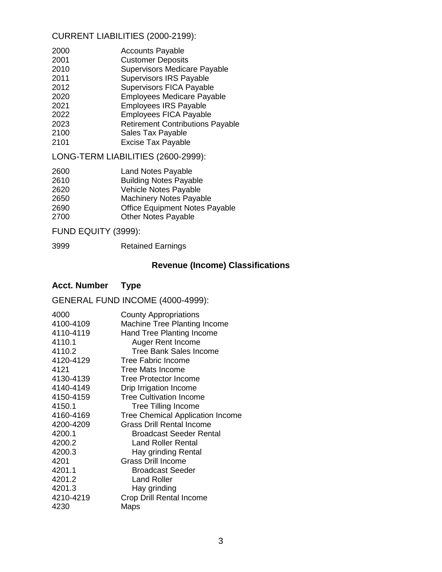#### CURRENT LIABILITIES (2000-2199):

| 2000 | <b>Accounts Payable</b>             |
|------|-------------------------------------|
| 2001 | <b>Customer Deposits</b>            |
| 2010 | <b>Supervisors Medicare Payable</b> |
| 2011 | Supervisors IRS Payable             |
| 2012 | <b>Supervisors FICA Payable</b>     |
|      |                                     |

- 2020 Employees Medicare Payable
- 2021 Employees IRS Payable
- 2022 Employees FICA Payable
- 2023 Retirement Contributions Payable
- 2100 Sales Tax Payable
- 2101 Excise Tax Payable

LONG-TERM LIABILITIES (2600-2999):

| 2600 | <b>Land Notes Payable</b>             |
|------|---------------------------------------|
| 2610 | <b>Building Notes Payable</b>         |
| 2620 | Vehicle Notes Payable                 |
| 2650 | <b>Machinery Notes Payable</b>        |
| 2690 | <b>Office Equipment Notes Payable</b> |
| 2700 | <b>Other Notes Payable</b>            |

#### FUND EQUITY (3999):

3999 Retained Earnings

#### **Revenue (Income) Classifications**

#### **Acct. Number Type**

#### GENERAL FUND INCOME (4000-4999):

| 4000      | <b>County Appropriations</b>            |
|-----------|-----------------------------------------|
| 4100-4109 | <b>Machine Tree Planting Income</b>     |
| 4110-4119 | Hand Tree Planting Income               |
| 4110.1    | Auger Rent Income                       |
| 4110.2    | Tree Bank Sales Income                  |
| 4120-4129 | Tree Fabric Income                      |
| 4121      | <b>Tree Mats Income</b>                 |
| 4130-4139 | Tree Protector Income                   |
| 4140-4149 | Drip Irrigation Income                  |
| 4150-4159 | <b>Tree Cultivation Income</b>          |
| 4150.1    | <b>Tree Tilling Income</b>              |
| 4160-4169 | <b>Tree Chemical Application Income</b> |
| 4200-4209 | <b>Grass Drill Rental Income</b>        |
| 4200.1    | <b>Broadcast Seeder Rental</b>          |
| 4200.2    | Land Roller Rental                      |
| 4200.3    | Hay grinding Rental                     |
| 4201      | <b>Grass Drill Income</b>               |
| 4201.1    | <b>Broadcast Seeder</b>                 |
| 4201.2    | <b>Land Roller</b>                      |
| 4201.3    | Hay grinding                            |
| 4210-4219 | Crop Drill Rental Income                |
| 4230      | Maps                                    |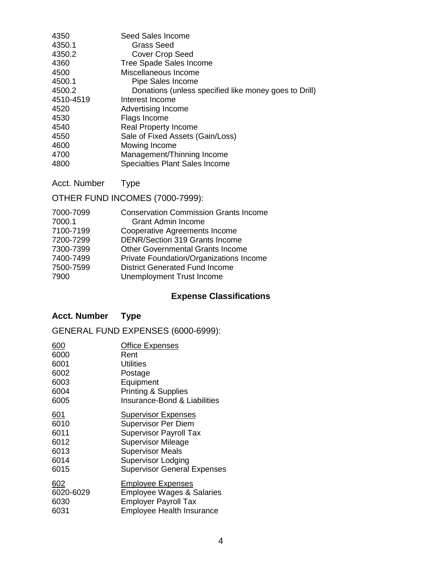| 4350      | Seed Sales Income                                     |
|-----------|-------------------------------------------------------|
| 4350.1    | <b>Grass Seed</b>                                     |
| 4350.2    | <b>Cover Crop Seed</b>                                |
| 4360      | <b>Tree Spade Sales Income</b>                        |
| 4500      | Miscellaneous Income                                  |
| 4500.1    | Pipe Sales Income                                     |
| 4500.2    | Donations (unless specified like money goes to Drill) |
| 4510-4519 | Interest Income                                       |
| 4520      | Advertising Income                                    |
| 4530      | Flags Income                                          |
| 4540      | <b>Real Property Income</b>                           |
| 4550      | Sale of Fixed Assets (Gain/Loss)                      |
| 4600      | Mowing Income                                         |
| 4700      | Management/Thinning Income                            |
| 4800      | <b>Specialties Plant Sales Income</b>                 |

Acct. Number Type

OTHER FUND INCOMES (7000-7999):

| 7000-7099 | <b>Conservation Commission Grants Income</b> |
|-----------|----------------------------------------------|
| 7000.1    | <b>Grant Admin Income</b>                    |
| 7100-7199 | Cooperative Agreements Income                |
| 7200-7299 | <b>DENR/Section 319 Grants Income</b>        |
| 7300-7399 | <b>Other Governmental Grants Income</b>      |
| 7400-7499 | Private Foundation/Organizations Income      |
| 7500-7599 | <b>District Generated Fund Income</b>        |
| 7900      | Unemployment Trust Income                    |
|           |                                              |

### **Expense Classifications**

#### **Acct. Number Type**

GENERAL FUND EXPENSES (6000-6999):

| 600        | <b>Office Expenses</b>               |
|------------|--------------------------------------|
| 6000       | Rent                                 |
| 6001       | Utilities                            |
| 6002       | Postage                              |
| 6003       | Equipment                            |
| 6004       | <b>Printing &amp; Supplies</b>       |
| 6005       | Insurance-Bond & Liabilities         |
| <u>601</u> | <b>Supervisor Expenses</b>           |
| 6010       | <b>Supervisor Per Diem</b>           |
| 6011       | <b>Supervisor Payroll Tax</b>        |
| 6012       | <b>Supervisor Mileage</b>            |
| 6013       | <b>Supervisor Meals</b>              |
| 6014       | <b>Supervisor Lodging</b>            |
| 6015       | <b>Supervisor General Expenses</b>   |
| <u>602</u> | <b>Employee Expenses</b>             |
| 6020-6029  | <b>Employee Wages &amp; Salaries</b> |
| 6030       | <b>Employer Payroll Tax</b>          |
| 6031       | <b>Employee Health Insurance</b>     |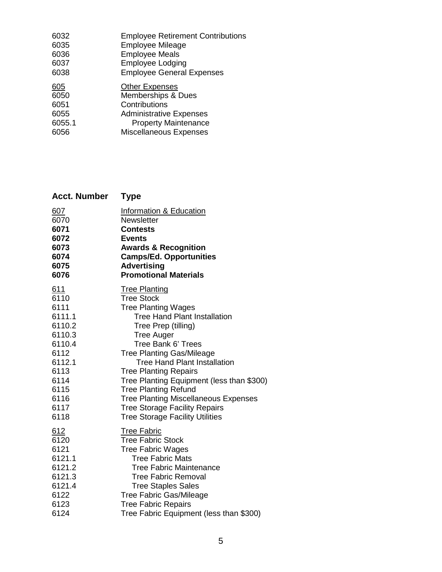| 6032   | <b>Employee Retirement Contributions</b> |
|--------|------------------------------------------|
| 6035   | <b>Employee Mileage</b>                  |
| 6036   | <b>Employee Meals</b>                    |
| 6037   | <b>Employee Lodging</b>                  |
| 6038   | <b>Employee General Expenses</b>         |
| 605    | <b>Other Expenses</b>                    |
| 6050   | <b>Memberships &amp; Dues</b>            |
| 6051   | Contributions                            |
| 6055   | <b>Administrative Expenses</b>           |
| 6055.1 | <b>Property Maintenance</b>              |
| 6056   | Miscellaneous Expenses                   |
|        |                                          |

| <b>Acct. Number</b> | <b>Type</b>                                 |
|---------------------|---------------------------------------------|
| 607                 | <b>Information &amp; Education</b>          |
| 6070                | Newsletter                                  |
| 6071                | <b>Contests</b>                             |
| 6072                | <b>Events</b>                               |
| 6073                | <b>Awards &amp; Recognition</b>             |
| 6074                | <b>Camps/Ed. Opportunities</b>              |
| 6075                | <b>Advertising</b>                          |
| 6076                | <b>Promotional Materials</b>                |
| 611                 | <b>Tree Planting</b>                        |
| 6110                | <b>Tree Stock</b>                           |
| 6111                | <b>Tree Planting Wages</b>                  |
| 6111.1              | <b>Tree Hand Plant Installation</b>         |
| 6110.2              | Tree Prep (tilling)                         |
| 6110.3              | <b>Tree Auger</b>                           |
| 6110.4              | Tree Bank 6' Trees                          |
| 6112                | <b>Tree Planting Gas/Mileage</b>            |
| 6112.1              | <b>Tree Hand Plant Installation</b>         |
| 6113                | <b>Tree Planting Repairs</b>                |
| 6114                | Tree Planting Equipment (less than \$300)   |
| 6115                | <b>Tree Planting Refund</b>                 |
| 6116                | <b>Tree Planting Miscellaneous Expenses</b> |
| 6117                | <b>Tree Storage Facility Repairs</b>        |
| 6118                | <b>Tree Storage Facility Utilities</b>      |
| 612                 | <b>Tree Fabric</b>                          |
| 6120                | <b>Tree Fabric Stock</b>                    |
| 6121                | <b>Tree Fabric Wages</b>                    |
| 6121.1              | <b>Tree Fabric Mats</b>                     |
| 6121.2              | <b>Tree Fabric Maintenance</b>              |
| 6121.3              | <b>Tree Fabric Removal</b>                  |
| 6121.4              | <b>Tree Staples Sales</b>                   |
| 6122                | <b>Tree Fabric Gas/Mileage</b>              |
| 6123                | <b>Tree Fabric Repairs</b>                  |
| 6124                | Tree Fabric Equipment (less than \$300)     |
|                     |                                             |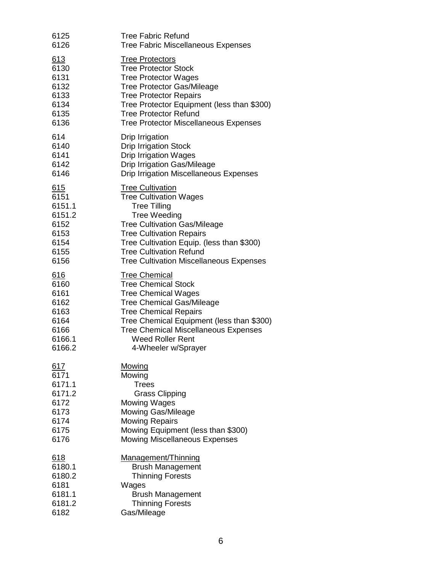| 6125       | <b>Tree Fabric Refund</b>                      |
|------------|------------------------------------------------|
| 6126       | <b>Tree Fabric Miscellaneous Expenses</b>      |
| <u>613</u> | <b>Tree Protectors</b>                         |
| 6130       | <b>Tree Protector Stock</b>                    |
| 6131       | <b>Tree Protector Wages</b>                    |
| 6132       | <b>Tree Protector Gas/Mileage</b>              |
| 6133       | <b>Tree Protector Repairs</b>                  |
| 6134       | Tree Protector Equipment (less than \$300)     |
| 6135       | <b>Tree Protector Refund</b>                   |
| 6136       | <b>Tree Protector Miscellaneous Expenses</b>   |
| 614        | Drip Irrigation                                |
| 6140       | <b>Drip Irrigation Stock</b>                   |
| 6141       | <b>Drip Irrigation Wages</b>                   |
| 6142       | <b>Drip Irrigation Gas/Mileage</b>             |
| 6146       | <b>Drip Irrigation Miscellaneous Expenses</b>  |
| 615        | <b>Tree Cultivation</b>                        |
| 6151       | <b>Tree Cultivation Wages</b>                  |
| 6151.1     | <b>Tree Tilling</b>                            |
| 6151.2     | <b>Tree Weeding</b>                            |
| 6152       | <b>Tree Cultivation Gas/Mileage</b>            |
| 6153       | <b>Tree Cultivation Repairs</b>                |
| 6154       | Tree Cultivation Equip. (less than \$300)      |
| 6155       | <b>Tree Cultivation Refund</b>                 |
| 6156       | <b>Tree Cultivation Miscellaneous Expenses</b> |
| <u>616</u> | <b>Tree Chemical</b>                           |
| 6160       | <b>Tree Chemical Stock</b>                     |
| 6161       | <b>Tree Chemical Wages</b>                     |
| 6162       | <b>Tree Chemical Gas/Mileage</b>               |
| 6163       | <b>Tree Chemical Repairs</b>                   |
| 6164       | Tree Chemical Equipment (less than \$300)      |
| 6166       | <b>Tree Chemical Miscellaneous Expenses</b>    |
| 6166.1     | <b>Weed Roller Rent</b>                        |
| 6166.2     | 4-Wheeler w/Sprayer                            |
| 617        | Mowing                                         |
| 6171       | Mowing                                         |
| 6171.1     | <b>Trees</b>                                   |
| 6171.2     | <b>Grass Clipping</b>                          |
| 6172       | <b>Mowing Wages</b>                            |
| 6173       | <b>Mowing Gas/Mileage</b>                      |
| 6174       | <b>Mowing Repairs</b>                          |
| 6175       | Mowing Equipment (less than \$300)             |
| 6176       | <b>Mowing Miscellaneous Expenses</b>           |
| <u>618</u> | Management/Thinning                            |
| 6180.1     | <b>Brush Management</b>                        |
| 6180.2     | <b>Thinning Forests</b>                        |
| 6181       | Wages                                          |
| 6181.1     | <b>Brush Management</b>                        |
| 6181.2     | <b>Thinning Forests</b>                        |
| 6182       | Gas/Mileage                                    |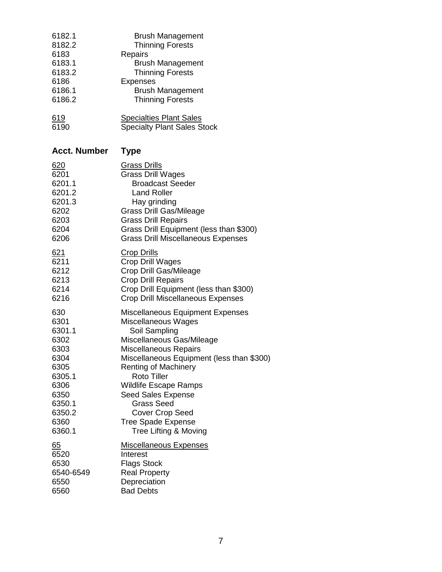| 6182.1     | <b>Brush Management</b>            |
|------------|------------------------------------|
| 8182.2     | <b>Thinning Forests</b>            |
| 6183       | Repairs                            |
| 6183.1     | <b>Brush Management</b>            |
| 6183.2     | <b>Thinning Forests</b>            |
| 6186       | <b>Expenses</b>                    |
| 6186.1     | <b>Brush Management</b>            |
| 6186.2     | <b>Thinning Forests</b>            |
| <u>619</u> | <b>Specialties Plant Sales</b>     |
| 6190       | <b>Specialty Plant Sales Stock</b> |

### **Acct. Number Type**

| 620              | <b>Grass Drills</b>                       |
|------------------|-------------------------------------------|
| 6201             | <b>Grass Drill Wages</b>                  |
| 6201.1           | <b>Broadcast Seeder</b>                   |
| 6201.2           | <b>Land Roller</b>                        |
| 6201.3           | Hay grinding                              |
| 6202             | <b>Grass Drill Gas/Mileage</b>            |
| 6203             | <b>Grass Drill Repairs</b>                |
| 6204             | Grass Drill Equipment (less than \$300)   |
| 6206             | <b>Grass Drill Miscellaneous Expenses</b> |
| 621              | <b>Crop Drills</b>                        |
| 6211             | Crop Drill Wages                          |
| 6212             | Crop Drill Gas/Mileage                    |
| 6213             | <b>Crop Drill Repairs</b>                 |
| 6214             | Crop Drill Equipment (less than \$300)    |
| 6216             | <b>Crop Drill Miscellaneous Expenses</b>  |
| 630              | <b>Miscellaneous Equipment Expenses</b>   |
| 6301             | Miscellaneous Wages                       |
| 6301.1           | Soil Sampling                             |
| 6302             | Miscellaneous Gas/Mileage                 |
| 6303             | Miscellaneous Repairs                     |
| 6304             | Miscellaneous Equipment (less than \$300) |
| 6305             | <b>Renting of Machinery</b>               |
| 6305.1           | <b>Roto Tiller</b>                        |
| 6306             | <b>Wildlife Escape Ramps</b>              |
| 6350             | <b>Seed Sales Expense</b>                 |
| 6350.1           | <b>Grass Seed</b>                         |
| 6350.2           | <b>Cover Crop Seed</b>                    |
| 6360             | <b>Tree Spade Expense</b>                 |
| 6360.1           | Tree Lifting & Moving                     |
| $\underline{65}$ | <b>Miscellaneous Expenses</b>             |
| 6520             | Interest                                  |
| 6530             | <b>Flags Stock</b>                        |
| 6540-6549        | <b>Real Property</b>                      |
| 6550             | Depreciation                              |
| 6560             | <b>Bad Debts</b>                          |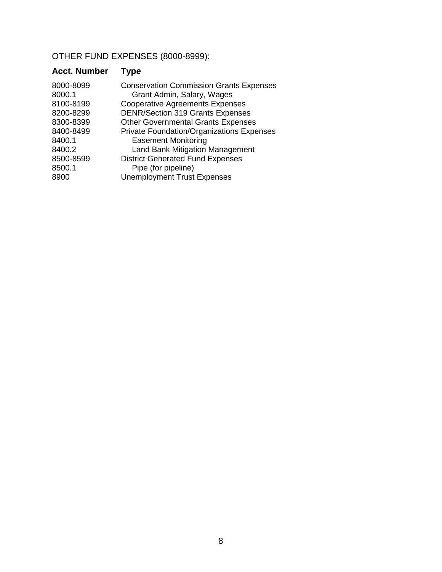OTHER FUND EXPENSES (8000-8999):

| <b>Acct. Number</b> | Type                                           |
|---------------------|------------------------------------------------|
| 8000-8099           | <b>Conservation Commission Grants Expenses</b> |
| 8000.1              | Grant Admin, Salary, Wages                     |
| 8100-8199           | <b>Cooperative Agreements Expenses</b>         |
| 8200-8299           | <b>DENR/Section 319 Grants Expenses</b>        |
| 8300-8399           | <b>Other Governmental Grants Expenses</b>      |
| 8400-8499           | Private Foundation/Organizations Expenses      |
| 8400.1              | <b>Easement Monitoring</b>                     |
| 8400.2              | <b>Land Bank Mitigation Management</b>         |
| 8500-8599           | <b>District Generated Fund Expenses</b>        |
| 8500.1              | Pipe (for pipeline)                            |
| 8900                | <b>Unemployment Trust Expenses</b>             |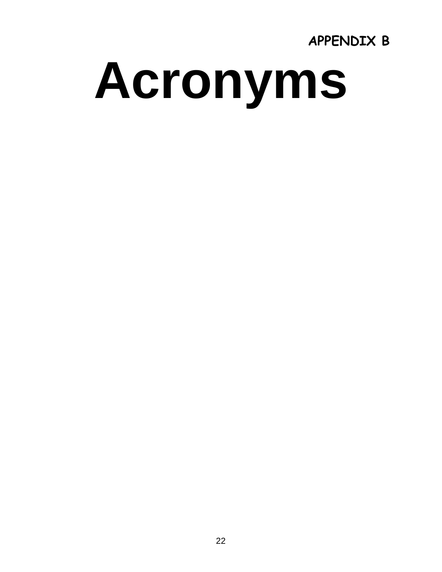**APPENDIX B** 

# **Acronyms**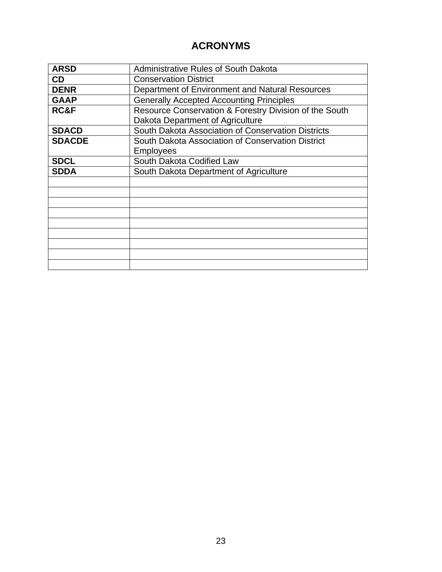#### **ACRONYMS**

| <b>ARSD</b>   | <b>Administrative Rules of South Dakota</b>            |  |
|---------------|--------------------------------------------------------|--|
| CD            | <b>Conservation District</b>                           |  |
| <b>DENR</b>   | Department of Environment and Natural Resources        |  |
| <b>GAAP</b>   | <b>Generally Accepted Accounting Principles</b>        |  |
| RC&F          | Resource Conservation & Forestry Division of the South |  |
|               | Dakota Department of Agriculture                       |  |
| <b>SDACD</b>  | South Dakota Association of Conservation Districts     |  |
| <b>SDACDE</b> | South Dakota Association of Conservation District      |  |
|               | <b>Employees</b>                                       |  |
| <b>SDCL</b>   | South Dakota Codified Law                              |  |
| <b>SDDA</b>   | South Dakota Department of Agriculture                 |  |
|               |                                                        |  |
|               |                                                        |  |
|               |                                                        |  |
|               |                                                        |  |
|               |                                                        |  |
|               |                                                        |  |
|               |                                                        |  |
|               |                                                        |  |
|               |                                                        |  |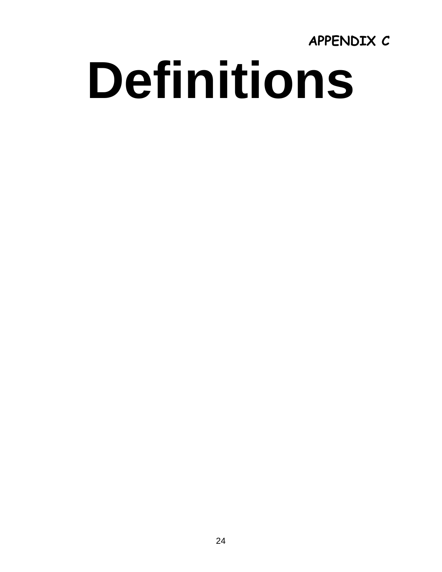**APPENDIX C Definitions**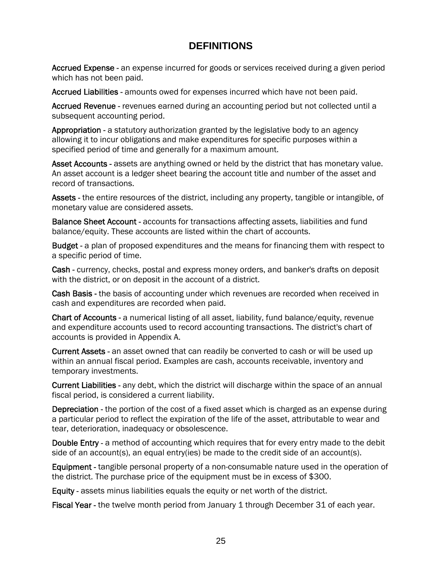#### **DEFINITIONS**

Accrued Expense - an expense incurred for goods or services received during a given period which has not been paid.

Accrued Liabilities - amounts owed for expenses incurred which have not been paid.

Accrued Revenue - revenues earned during an accounting period but not collected until a subsequent accounting period.

Appropriation - a statutory authorization granted by the legislative body to an agency allowing it to incur obligations and make expenditures for specific purposes within a specified period of time and generally for a maximum amount.

Asset Accounts - assets are anything owned or held by the district that has monetary value. An asset account is a ledger sheet bearing the account title and number of the asset and record of transactions.

Assets - the entire resources of the district, including any property, tangible or intangible, of monetary value are considered assets.

Balance Sheet Account - accounts for transactions affecting assets, liabilities and fund balance/equity. These accounts are listed within the chart of accounts.

Budget - a plan of proposed expenditures and the means for financing them with respect to a specific period of time.

Cash - currency, checks, postal and express money orders, and banker's drafts on deposit with the district, or on deposit in the account of a district.

Cash Basis - the basis of accounting under which revenues are recorded when received in cash and expenditures are recorded when paid.

Chart of Accounts - a numerical listing of all asset, liability, fund balance/equity, revenue and expenditure accounts used to record accounting transactions. The district's chart of accounts is provided in Appendix A.

Current Assets - an asset owned that can readily be converted to cash or will be used up within an annual fiscal period. Examples are cash, accounts receivable, inventory and temporary investments.

Current Liabilities - any debt, which the district will discharge within the space of an annual fiscal period, is considered a current liability.

Depreciation - the portion of the cost of a fixed asset which is charged as an expense during a particular period to reflect the expiration of the life of the asset, attributable to wear and tear, deterioration, inadequacy or obsolescence.

Double Entry - a method of accounting which requires that for every entry made to the debit side of an account(s), an equal entry(ies) be made to the credit side of an account(s).

Equipment - tangible personal property of a non-consumable nature used in the operation of the district. The purchase price of the equipment must be in excess of \$300.

Equity - assets minus liabilities equals the equity or net worth of the district.

Fiscal Year - the twelve month period from January 1 through December 31 of each year.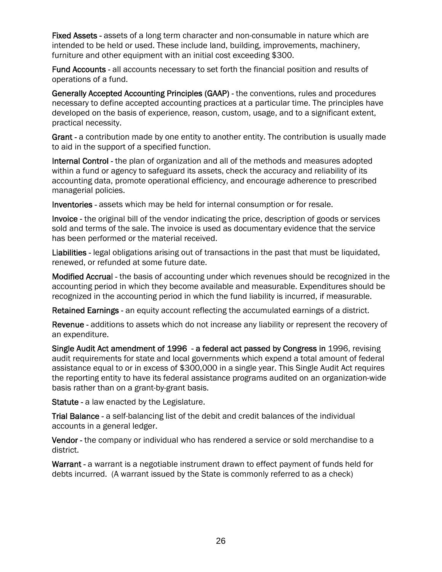Fixed Assets - assets of a long term character and non-consumable in nature which are intended to be held or used. These include land, building, improvements, machinery, furniture and other equipment with an initial cost exceeding \$300.

Fund Accounts - all accounts necessary to set forth the financial position and results of operations of a fund.

Generally Accepted Accounting Principles (GAAP) - the conventions, rules and procedures necessary to define accepted accounting practices at a particular time. The principles have developed on the basis of experience, reason, custom, usage, and to a significant extent, practical necessity.

Grant - a contribution made by one entity to another entity. The contribution is usually made to aid in the support of a specified function.

Internal Control - the plan of organization and all of the methods and measures adopted within a fund or agency to safeguard its assets, check the accuracy and reliability of its accounting data, promote operational efficiency, and encourage adherence to prescribed managerial policies.

Inventories - assets which may be held for internal consumption or for resale.

Invoice - the original bill of the vendor indicating the price, description of goods or services sold and terms of the sale. The invoice is used as documentary evidence that the service has been performed or the material received.

Liabilities - legal obligations arising out of transactions in the past that must be liquidated, renewed, or refunded at some future date.

Modified Accrual - the basis of accounting under which revenues should be recognized in the accounting period in which they become available and measurable. Expenditures should be recognized in the accounting period in which the fund liability is incurred, if measurable.

Retained Earnings - an equity account reflecting the accumulated earnings of a district.

Revenue - additions to assets which do not increase any liability or represent the recovery of an expenditure.

Single Audit Act amendment of 1996 - a federal act passed by Congress in 1996, revising audit requirements for state and local governments which expend a total amount of federal assistance equal to or in excess of \$300,000 in a single year. This Single Audit Act requires the reporting entity to have its federal assistance programs audited on an organization-wide basis rather than on a grant-by-grant basis.

Statute - a law enacted by the Legislature.

Trial Balance - a self-balancing list of the debit and credit balances of the individual accounts in a general ledger.

Vendor - the company or individual who has rendered a service or sold merchandise to a district.

Warrant - a warrant is a negotiable instrument drawn to effect payment of funds held for debts incurred. (A warrant issued by the State is commonly referred to as a check)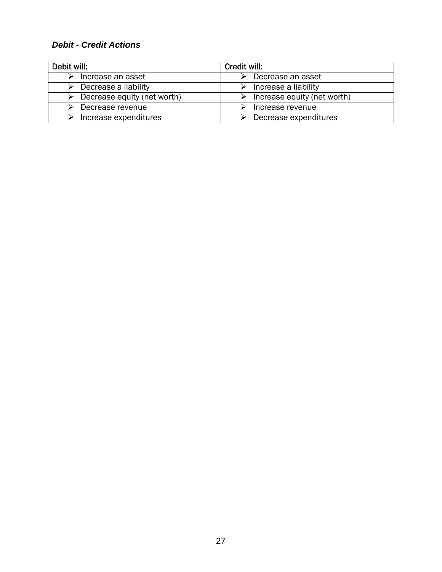#### *Debit - Credit Actions*

| Debit will:                                  | Credit will:                |  |  |
|----------------------------------------------|-----------------------------|--|--|
| Increase an asset                            | Decrease an asset           |  |  |
| Decrease a liability                         | Increase a liability        |  |  |
| $\triangleright$ Decrease equity (net worth) | Increase equity (net worth) |  |  |
| Decrease revenue                             | Increase revenue            |  |  |
| Increase expenditures                        | Decrease expenditures       |  |  |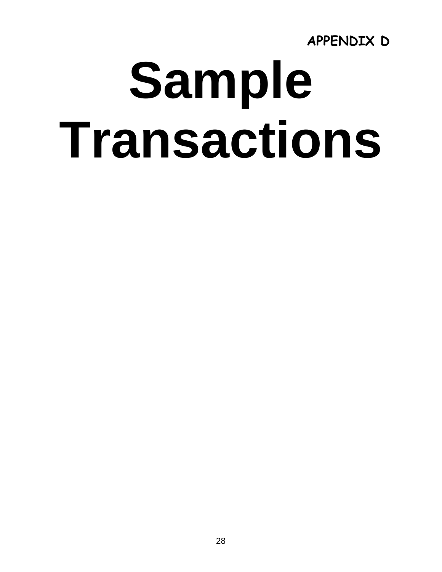**APPENDIX D** 

## **Sample Transactions**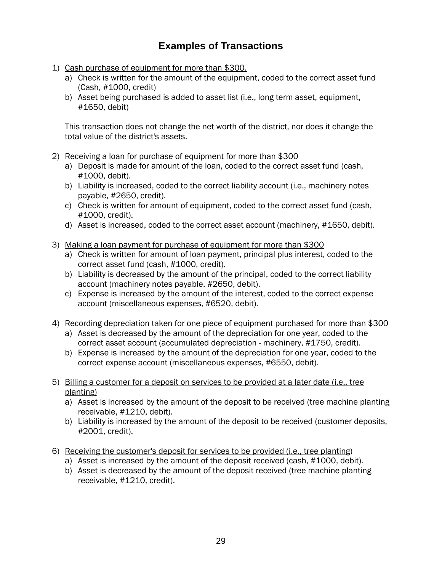#### **Examples of Transactions**

- 1) Cash purchase of equipment for more than \$300.
	- a) Check is written for the amount of the equipment, coded to the correct asset fund (Cash, #1000, credit)
	- b) Asset being purchased is added to asset list (i.e., long term asset, equipment, #1650, debit)

This transaction does not change the net worth of the district, nor does it change the total value of the district's assets.

- 2) Receiving a loan for purchase of equipment for more than \$300
	- a) Deposit is made for amount of the loan, coded to the correct asset fund (cash, #1000, debit).
	- b) Liability is increased, coded to the correct liability account (i.e., machinery notes payable, #2650, credit).
	- c) Check is written for amount of equipment, coded to the correct asset fund (cash, #1000, credit).
	- d) Asset is increased, coded to the correct asset account (machinery, #1650, debit).
- 3) Making a loan payment for purchase of equipment for more than \$300
	- a) Check is written for amount of loan payment, principal plus interest, coded to the correct asset fund (cash, #1000, credit).
	- b) Liability is decreased by the amount of the principal, coded to the correct liability account (machinery notes payable, #2650, debit).
	- c) Expense is increased by the amount of the interest, coded to the correct expense account (miscellaneous expenses, #6520, debit).
- 4) Recording depreciation taken for one piece of equipment purchased for more than \$300
	- a) Asset is decreased by the amount of the depreciation for one year, coded to the correct asset account (accumulated depreciation - machinery, #1750, credit).
	- b) Expense is increased by the amount of the depreciation for one year, coded to the correct expense account (miscellaneous expenses, #6550, debit).
- 5) Billing a customer for a deposit on services to be provided at a later date (i.e., tree planting)
	- a) Asset is increased by the amount of the deposit to be received (tree machine planting receivable, #1210, debit).
	- b) Liability is increased by the amount of the deposit to be received (customer deposits, #2001, credit).
- 6) Receiving the customer's deposit for services to be provided (i.e., tree planting)
	- a) Asset is increased by the amount of the deposit received (cash, #1000, debit).
	- b) Asset is decreased by the amount of the deposit received (tree machine planting receivable, #1210, credit).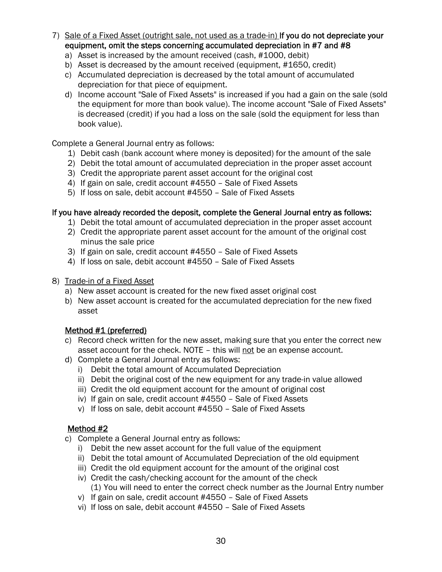- 7) Sale of a Fixed Asset (outright sale, not used as a trade-in) If you do not depreciate your equipment, omit the steps concerning accumulated depreciation in #7 and #8
	- a) Asset is increased by the amount received (cash, #1000, debit)
	- b) Asset is decreased by the amount received (equipment, #1650, credit)
	- c) Accumulated depreciation is decreased by the total amount of accumulated depreciation for that piece of equipment.
	- d) Income account "Sale of Fixed Assets" is increased if you had a gain on the sale (sold the equipment for more than book value). The income account "Sale of Fixed Assets" is decreased (credit) if you had a loss on the sale (sold the equipment for less than book value).

Complete a General Journal entry as follows:

- 1) Debit cash (bank account where money is deposited) for the amount of the sale
- 2) Debit the total amount of accumulated depreciation in the proper asset account
- 3) Credit the appropriate parent asset account for the original cost
- 4) If gain on sale, credit account #4550 Sale of Fixed Assets
- 5) If loss on sale, debit account #4550 Sale of Fixed Assets

#### If you have already recorded the deposit, complete the General Journal entry as follows:

- 1) Debit the total amount of accumulated depreciation in the proper asset account
- 2) Credit the appropriate parent asset account for the amount of the original cost minus the sale price
- 3) If gain on sale, credit account #4550 Sale of Fixed Assets
- 4) If loss on sale, debit account #4550 Sale of Fixed Assets
- 8) Trade-in of a Fixed Asset
	- a) New asset account is created for the new fixed asset original cost
	- b) New asset account is created for the accumulated depreciation for the new fixed asset

#### Method #1 (preferred)

- c) Record check written for the new asset, making sure that you enter the correct new asset account for the check. NOTE – this will not be an expense account.
- d) Complete a General Journal entry as follows:
	- i) Debit the total amount of Accumulated Depreciation
	- ii) Debit the original cost of the new equipment for any trade-in value allowed
	- iii) Credit the old equipment account for the amount of original cost
	- iv) If gain on sale, credit account #4550 Sale of Fixed Assets
	- v) If loss on sale, debit account #4550 Sale of Fixed Assets

#### Method #2

- c) Complete a General Journal entry as follows:
	- i) Debit the new asset account for the full value of the equipment
	- ii) Debit the total amount of Accumulated Depreciation of the old equipment
	- iii) Credit the old equipment account for the amount of the original cost
	- iv) Credit the cash/checking account for the amount of the check (1) You will need to enter the correct check number as the Journal Entry number
	- v) If gain on sale, credit account #4550 Sale of Fixed Assets
	- vi) If loss on sale, debit account #4550 Sale of Fixed Assets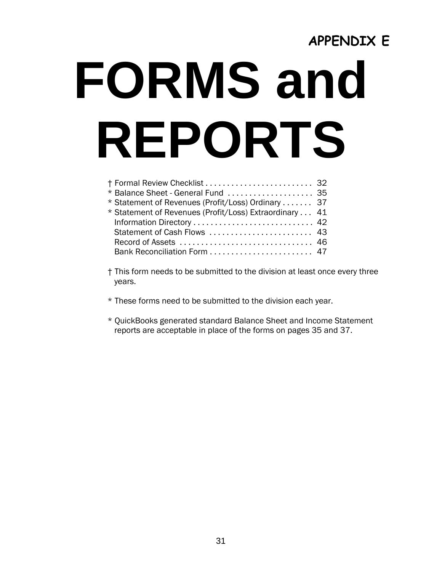## **APPENDIX E FORMS and REPORTS**

| † Formal Review Checklist  32                          |  |
|--------------------------------------------------------|--|
| * Balance Sheet - General Fund  35                     |  |
| * Statement of Revenues (Profit/Loss) Ordinary 37      |  |
| * Statement of Revenues (Profit/Loss) Extraordinary 41 |  |
| Information Directory  42                              |  |
| Statement of Cash Flows  43                            |  |
|                                                        |  |
| Bank Reconciliation Form  47                           |  |

- † This form needs to be submitted to the division at least once every three years.
- \* These forms need to be submitted to the division each year.
- \* QuickBooks generated standard Balance Sheet and Income Statement reports are acceptable in place of the forms on pages 35 and 37.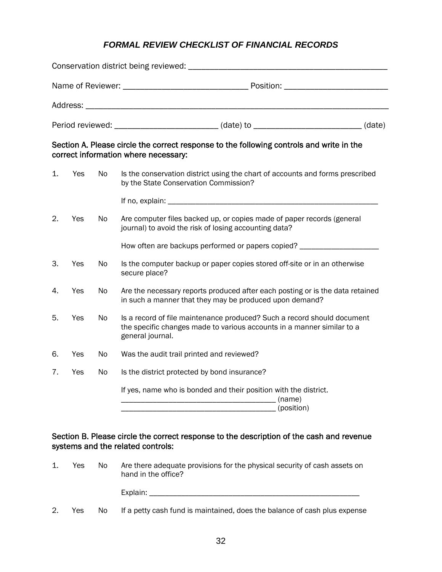#### *FORMAL REVIEW CHECKLIST OF FINANCIAL RECORDS*

|    |     |    | Period reviewed: ______________________________(date) to _________________________(date)                                                                              |  |
|----|-----|----|-----------------------------------------------------------------------------------------------------------------------------------------------------------------------|--|
|    |     |    | Section A. Please circle the correct response to the following controls and write in the<br>correct information where necessary:                                      |  |
| 1. | Yes | No | Is the conservation district using the chart of accounts and forms prescribed<br>by the State Conservation Commission?                                                |  |
|    |     |    |                                                                                                                                                                       |  |
| 2. | Yes | No | Are computer files backed up, or copies made of paper records (general<br>journal) to avoid the risk of losing accounting data?                                       |  |
|    |     |    | How often are backups performed or papers copied? ______________________                                                                                              |  |
| 3. | Yes | No | Is the computer backup or paper copies stored off-site or in an otherwise<br>secure place?                                                                            |  |
| 4. | Yes | No | Are the necessary reports produced after each posting or is the data retained<br>in such a manner that they may be produced upon demand?                              |  |
| 5. | Yes | No | Is a record of file maintenance produced? Such a record should document<br>the specific changes made to various accounts in a manner similar to a<br>general journal. |  |
| 6. | Yes | No | Was the audit trail printed and reviewed?                                                                                                                             |  |
| 7. | Yes | No | Is the district protected by bond insurance?                                                                                                                          |  |
|    |     |    | If yes, name who is bonded and their position with the district.<br>(position)                                                                                        |  |

#### Section B. Please circle the correct response to the description of the cash and revenue systems and the related controls:

| Yes | No. | Are there adequate provisions for the physical security of cash assets on<br>hand in the office? |
|-----|-----|--------------------------------------------------------------------------------------------------|
|     |     | Explain:                                                                                         |

2. Yes No If a petty cash fund is maintained, does the balance of cash plus expense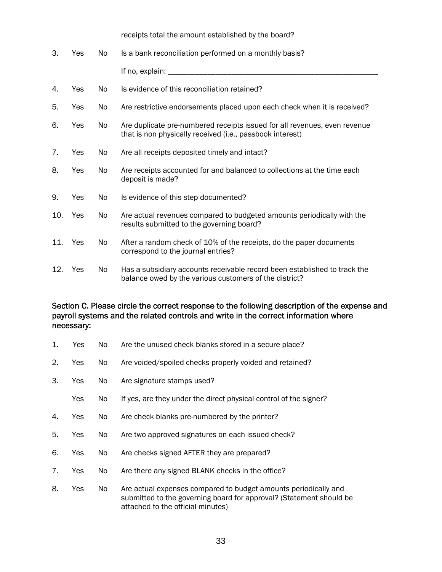|     |     |    | receipts total the amount established by the board?                                                                                    |
|-----|-----|----|----------------------------------------------------------------------------------------------------------------------------------------|
| 3.  | Yes | No | Is a bank reconciliation performed on a monthly basis?                                                                                 |
|     |     |    |                                                                                                                                        |
| 4.  | Yes | No | Is evidence of this reconciliation retained?                                                                                           |
| 5.  | Yes | No | Are restrictive endorsements placed upon each check when it is received?                                                               |
| 6.  | Yes | No | Are duplicate pre-numbered receipts issued for all revenues, even revenue<br>that is non physically received (i.e., passbook interest) |
| 7.  | Yes | No | Are all receipts deposited timely and intact?                                                                                          |
| 8.  | Yes | No | Are receipts accounted for and balanced to collections at the time each<br>deposit is made?                                            |
| 9.  | Yes | No | Is evidence of this step documented?                                                                                                   |
| 10. | Yes | No | Are actual revenues compared to budgeted amounts periodically with the<br>results submitted to the governing board?                    |
| 11. | Yes | No | After a random check of 10% of the receipts, do the paper documents<br>correspond to the journal entries?                              |
| 12. | Yes | No | Has a subsidiary accounts receivable record been established to track the<br>balance owed by the various customers of the district?    |

#### Section C. Please circle the correct response to the following description of the expense and payroll systems and the related controls and write in the correct information where necessary:

- 1. Yes No Are the unused check blanks stored in a secure place?
- 2. Yes No Are voided/spoiled checks properly voided and retained?
- 3. Yes No Are signature stamps used?
	- Yes No If yes, are they under the direct physical control of the signer?
- 4. Yes No Are check blanks pre-numbered by the printer?
- 5. Yes No Are two approved signatures on each issued check?
- 6. Yes No Are checks signed AFTER they are prepared?
- 7. Yes No Are there any signed BLANK checks in the office?
- 8. Yes No Are actual expenses compared to budget amounts periodically and submitted to the governing board for approval? (Statement should be attached to the official minutes)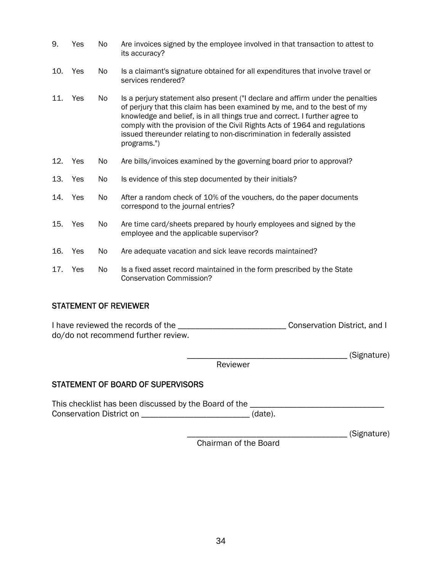| 9.  | Yes | No  | Are invoices signed by the employee involved in that transaction to attest to<br>its accuracy?                                                                                                                                                                                                                                                                                                                    |  |
|-----|-----|-----|-------------------------------------------------------------------------------------------------------------------------------------------------------------------------------------------------------------------------------------------------------------------------------------------------------------------------------------------------------------------------------------------------------------------|--|
| 10. | Yes | No. | Is a claimant's signature obtained for all expenditures that involve travel or<br>services rendered?                                                                                                                                                                                                                                                                                                              |  |
| 11. | Yes | No. | Is a perjury statement also present ("I declare and affirm under the penalties<br>of perjury that this claim has been examined by me, and to the best of my<br>knowledge and belief, is in all things true and correct. I further agree to<br>comply with the provision of the Civil Rights Acts of 1964 and regulations<br>issued thereunder relating to non-discrimination in federally assisted<br>programs.") |  |
| 12. | Yes | No. | Are bills/invoices examined by the governing board prior to approval?                                                                                                                                                                                                                                                                                                                                             |  |
| 13. | Yes | No  | Is evidence of this step documented by their initials?                                                                                                                                                                                                                                                                                                                                                            |  |
| 14. | Yes | No. | After a random check of 10% of the vouchers, do the paper documents<br>correspond to the journal entries?                                                                                                                                                                                                                                                                                                         |  |
| 15. | Yes | No. | Are time card/sheets prepared by hourly employees and signed by the<br>employee and the applicable supervisor?                                                                                                                                                                                                                                                                                                    |  |
| 16. | Yes | No  | Are adequate vacation and sick leave records maintained?                                                                                                                                                                                                                                                                                                                                                          |  |
| 17. | Yes | No. | Is a fixed asset record maintained in the form prescribed by the State<br><b>Conservation Commission?</b>                                                                                                                                                                                                                                                                                                         |  |

#### STATEMENT OF REVIEWER

I have reviewed the records of the \_\_\_\_\_\_\_\_\_\_\_\_\_\_\_\_\_\_\_\_\_\_\_\_\_\_\_\_\_\_\_\_\_Conservation District, and I do/do not recommend further review.

\_\_\_\_\_\_\_\_\_\_\_\_\_\_\_\_\_\_\_\_\_\_\_\_\_\_\_\_\_\_\_\_\_\_\_\_\_ (Signature)

Reviewer

#### STATEMENT OF BOARD OF SUPERVISORS

This checklist has been discussed by the Board of the \_\_\_\_\_\_\_\_\_\_\_\_\_\_\_\_\_\_\_\_\_\_\_\_\_\_\_ Conservation District on \_\_\_\_\_\_\_\_\_\_\_\_\_\_\_\_\_\_\_\_\_\_\_\_\_\_\_\_\_\_\_\_\_(date).

\_\_\_\_\_\_\_\_\_\_\_\_\_\_\_\_\_\_\_\_\_\_\_\_\_\_\_\_\_\_\_\_\_\_\_\_\_ (Signature)

Chairman of the Board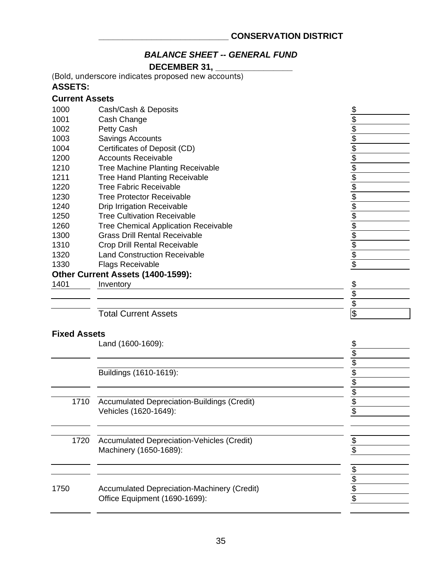#### *BALANCE SHEET -- GENERAL FUND*

**DECEMBER 31, \_\_\_\_\_\_\_\_\_\_\_\_\_\_\_\_**

(Bold, underscore indicates proposed new accounts)

#### **ASSETS:**

#### **Current Assets**

| 1000                | Cash/Cash & Deposits                        | $\frac{1}{2}$           |
|---------------------|---------------------------------------------|-------------------------|
| 1001                | Cash Change                                 | $\overline{\mathbf{e}}$ |
| 1002                | Petty Cash                                  |                         |
| 1003                | Savings Accounts                            | $\frac{6}{3}$           |
| 1004                | Certificates of Deposit (CD)                |                         |
| 1200                | <b>Accounts Receivable</b>                  |                         |
| 1210                | <b>Tree Machine Planting Receivable</b>     |                         |
| 1211                | <b>Tree Hand Planting Receivable</b>        |                         |
| 1220                | Tree Fabric Receivable                      |                         |
| 1230                | Tree Protector Receivable                   |                         |
| 1240                | <b>Drip Irrigation Receivable</b>           | 全全全全全全                  |
| 1250                | <b>Tree Cultivation Receivable</b>          |                         |
| 1260                | <b>Tree Chemical Application Receivable</b> | \$                      |
| 1300                | <b>Grass Drill Rental Receivable</b>        | \$                      |
| 1310                | Crop Drill Rental Receivable                |                         |
| 1320                | <b>Land Construction Receivable</b>         | $\frac{1}{3}$           |
| 1330                | <b>Flags Receivable</b>                     | \$                      |
|                     | Other Current Assets (1400-1599):           |                         |
| 1401                | Inventory                                   | \$                      |
|                     |                                             | \$                      |
|                     |                                             | \$                      |
|                     | <b>Total Current Assets</b>                 | \$                      |
| <b>Fixed Assets</b> |                                             |                         |
|                     | Land (1600-1609):                           | \$                      |

|      | Buildings (1610-1619):                             |  |
|------|----------------------------------------------------|--|
|      |                                                    |  |
|      |                                                    |  |
| 1710 | <b>Accumulated Depreciation-Buildings (Credit)</b> |  |
|      | Vehicles (1620-1649):                              |  |
|      |                                                    |  |
|      |                                                    |  |
| 1720 | <b>Accumulated Depreciation-Vehicles (Credit)</b>  |  |
|      | Machinery (1650-1689):                             |  |
|      |                                                    |  |
|      |                                                    |  |
|      |                                                    |  |
| 1750 | <b>Accumulated Depreciation-Machinery (Credit)</b> |  |
|      | Office Equipment (1690-1699):                      |  |
|      |                                                    |  |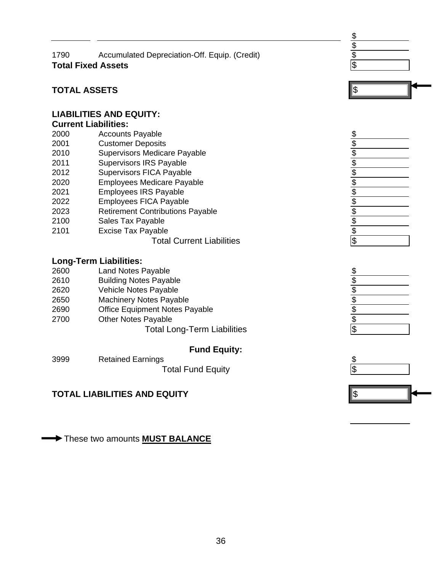| 1790 | Accumulated Depreciation-Off. Equip. (Credit) |  |
|------|-----------------------------------------------|--|
|      | <b>Total Fixed Assets</b>                     |  |





#### **TOTAL ASSETS**

#### **LIABILITIES AND EQUITY:**

#### **Current Liabilities:**

| <b>VUITENT LIADINIES.</b> |                                         |                                           |
|---------------------------|-----------------------------------------|-------------------------------------------|
| 2000                      | <b>Accounts Payable</b>                 | \$                                        |
| 2001                      | <b>Customer Deposits</b>                | $\, \, \raisebox{12pt}{$\scriptstyle \$}$ |
| 2010                      | Supervisors Medicare Payable            | $\overline{\$}$                           |
| 2011                      | <b>Supervisors IRS Payable</b>          | $\frac{\$}{\$}$                           |
| 2012                      | <b>Supervisors FICA Payable</b>         |                                           |
| 2020                      | <b>Employees Medicare Payable</b>       | $\sqrt[6]{\frac{1}{2}}$                   |
| 2021                      | <b>Employees IRS Payable</b>            |                                           |
| 2022                      | <b>Employees FICA Payable</b>           | $\frac{1}{2}$                             |
| 2023                      | <b>Retirement Contributions Payable</b> |                                           |
| 2100                      | Sales Tax Payable                       | $\overline{\$}$                           |

- 
- 
- 2100 Sales Tax Payable<br>
2101 Excise Tax Payable<br>
Total Current Liabilities<br>
Total Current Liabilities 2101 Excise Tax Payable

#### Total Current Liabilities \$

#### **Long-Term Liabilities:**

| 2600 | <b>Land Notes Payable</b>             | $\frac{1}{2}$           |
|------|---------------------------------------|-------------------------|
| 2610 | <b>Building Notes Payable</b>         | $\overline{\$}$         |
| 2620 | <b>Vehicle Notes Payable</b>          | $\sqrt[6]{\frac{1}{2}}$ |
| 2650 | <b>Machinery Notes Payable</b>        | $\sqrt[6]{\frac{1}{2}}$ |
| 2690 | <b>Office Equipment Notes Payable</b> | $\frac{1}{2}$           |
| 2700 | <b>Other Notes Payable</b>            | $\overline{\$}$         |
|      | <b>Total Long-Term Liabilities</b>    | $\sqrt[6]{\frac{1}{2}}$ |

#### **Fund Equity:**

| 3999 | <b>Retained Earnings</b> |  |
|------|--------------------------|--|
|      | <b>Total Fund Equity</b> |  |

#### **TOTAL LIABILITIES AND EQUITY the set of the set of the set of the set of the set of the set of the set of the set of the set of the set of the set of the set of the set of the set of the set of the set of the set of the**

These two amounts **MUST BALANCE** 



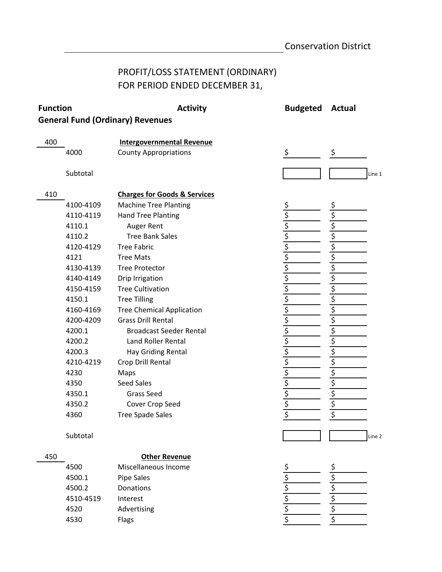### PROFIT/LOSS STATEMENT (ORDINARY) FOR PERIOD ENDED DECEMBER 31,

| <b>Function</b> |           | <b>Activity</b>                         | <b>Budgeted</b>                                                                                    | <b>Actual</b> |
|-----------------|-----------|-----------------------------------------|----------------------------------------------------------------------------------------------------|---------------|
|                 |           | <b>General Fund (Ordinary) Revenues</b> |                                                                                                    |               |
| 400             |           |                                         |                                                                                                    |               |
|                 |           | <b>Intergovernmental Revenue</b>        | \$                                                                                                 | \$            |
|                 | 4000      | <b>County Appropriations</b>            |                                                                                                    |               |
|                 | Subtotal  |                                         |                                                                                                    | Line 1        |
|                 |           |                                         |                                                                                                    |               |
| 410             |           | <b>Charges for Goods &amp; Services</b> |                                                                                                    |               |
|                 | 4100-4109 | <b>Machine Tree Planting</b>            | \$                                                                                                 | \$            |
|                 | 4110-4119 | <b>Hand Tree Planting</b>               |                                                                                                    | \$            |
|                 | 4110.1    | Auger Rent                              | $\frac{1}{2}$<br>$\frac{1}{2}$<br>$\frac{1}{2}$<br>$\frac{1}{2}$<br>$\frac{1}{2}$<br>$\frac{1}{2}$ |               |
|                 | 4110.2    | <b>Tree Bank Sales</b>                  |                                                                                                    |               |
|                 | 4120-4129 | <b>Tree Fabric</b>                      |                                                                                                    | \$            |
|                 | 4121      | <b>Tree Mats</b>                        |                                                                                                    | \$            |
|                 | 4130-4139 | <b>Tree Protector</b>                   |                                                                                                    | \$            |
|                 | 4140-4149 | Drip Irrigation                         | \$                                                                                                 | \$            |
|                 | 4150-4159 | <b>Tree Cultivation</b>                 | $rac{5}{5}$                                                                                        | \$            |
|                 | 4150.1    | <b>Tree Tilling</b>                     |                                                                                                    | \$            |
|                 | 4160-4169 | <b>Tree Chemical Application</b>        | \$\$\$\$                                                                                           | \$            |
|                 | 4200-4209 | <b>Grass Drill Rental</b>               |                                                                                                    | \$            |
|                 | 4200.1    | <b>Broadcast Seeder Rental</b>          |                                                                                                    | \$            |
|                 | 4200.2    | Land Roller Rental                      |                                                                                                    | \$            |
|                 | 4200.3    | Hay Griding Rental                      |                                                                                                    | \$            |
|                 | 4210-4219 | Crop Drill Rental                       | $\frac{5}{5}$<br>$\frac{5}{5}$                                                                     | \$            |
|                 | 4230      | Maps                                    |                                                                                                    | \$            |
|                 | 4350      | Seed Sales                              |                                                                                                    | \$            |
|                 | 4350.1    | <b>Grass Seed</b>                       |                                                                                                    | \$            |
|                 | 4350.2    | Cover Crop Seed                         | $rac{5}{5}$                                                                                        | \$            |
|                 | 4360      | <b>Tree Spade Sales</b>                 |                                                                                                    | \$            |
|                 | Subtotal  |                                         |                                                                                                    | Line 2        |
|                 |           |                                         |                                                                                                    |               |
| 450             |           | <b>Other Revenue</b>                    |                                                                                                    |               |
|                 | 4500      | Miscellaneous Income                    |                                                                                                    | \$            |
|                 | 4500.1    | <b>Pipe Sales</b>                       |                                                                                                    |               |
|                 | 4500.2    | Donations                               |                                                                                                    |               |
|                 | 4510-4519 | Interest                                | $\frac{5}{5}$<br>$\frac{5}{5}$                                                                     | \$            |
|                 | 4520      | Advertising                             |                                                                                                    | $\frac{5}{5}$ |
|                 | 4530      | Flags                                   |                                                                                                    |               |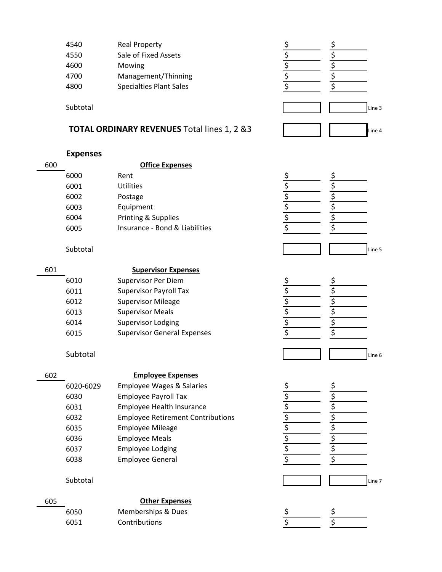| 4540 | <b>Real Property</b>           |  |
|------|--------------------------------|--|
| 4550 | Sale of Fixed Assets           |  |
| 4600 | Mowing                         |  |
| 4700 | Management/Thinning            |  |
| 4800 | <b>Specialties Plant Sales</b> |  |
|      |                                |  |

#### **TOTAL ORDINARY REVENUES** Total lines 1, 2 &3

| <b>Expenses</b> |
|-----------------|
|-----------------|

| 600 |      | <b>Office Expenses</b>         |  |  |
|-----|------|--------------------------------|--|--|
|     | 6000 | Rent                           |  |  |
|     | 6001 | <b>Utilities</b>               |  |  |
|     | 6002 | Postage                        |  |  |
|     | 6003 | Equipment                      |  |  |
|     | 6004 | Printing & Supplies            |  |  |
|     | 6005 | Insurance - Bond & Liabilities |  |  |
|     |      |                                |  |  |

Subtotal Line 3 Line 4



Subtotal Line 5

| 601 |      | <b>Supervisor Expenses</b>         |  |
|-----|------|------------------------------------|--|
|     | 6010 | Supervisor Per Diem                |  |
|     | 6011 | <b>Supervisor Payroll Tax</b>      |  |
|     | 6012 | <b>Supervisor Mileage</b>          |  |
|     | 6013 | <b>Supervisor Meals</b>            |  |
|     | 6014 | <b>Supervisor Lodging</b>          |  |
|     | 6015 | <b>Supervisor General Expenses</b> |  |
|     |      |                                    |  |

#### 602

#### **Employee Expenses**

| 6020-6029 | <b>Employee Wages &amp; Salaries</b>     |  |
|-----------|------------------------------------------|--|
| 6030      | <b>Employee Payroll Tax</b>              |  |
| 6031      | Employee Health Insurance                |  |
| 6032      | <b>Employee Retirement Contributions</b> |  |
| 6035      | <b>Employee Mileage</b>                  |  |
| 6036      | <b>Employee Meals</b>                    |  |
| 6037      | <b>Employee Lodging</b>                  |  |
| 6038      | <b>Employee General</b>                  |  |

#### 605 6050 \$ \$ Memberships & Dues 6051 \$ \$ Contributions **Other Expenses**







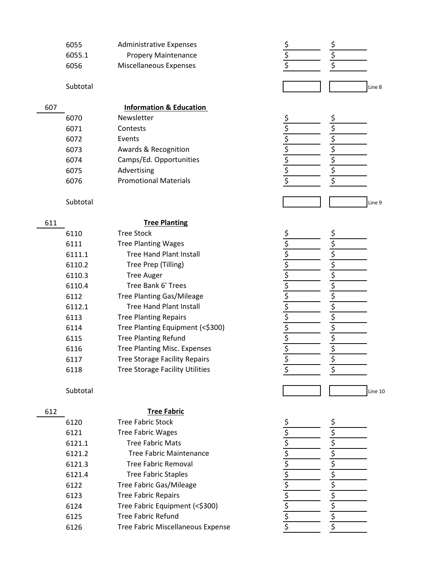| 6055   | <b>Administrative Expenses</b> |
|--------|--------------------------------|
| 6055.1 | <b>Propery Maintenance</b>     |
| 6056   | Miscellaneous Expenses         |

|      | <b>Information &amp; Education</b> |
|------|------------------------------------|
| 6070 | Newsletter                         |
| 6071 | Contests                           |
| 6072 | Events                             |
| 6073 | Awards & Recognition               |
| 6074 | Camps/Ed. Opportunities            |
| 6075 | Advertising                        |
| 6076 | <b>Promotional Materials</b>       |
|      |                                    |

#### 611

**Tree Planting**

| 6110   | <b>Tree Stock</b>                      |
|--------|----------------------------------------|
| 6111   | <b>Tree Planting Wages</b>             |
| 6111.1 | <b>Tree Hand Plant Install</b>         |
| 6110.2 | Tree Prep (Tilling)                    |
| 6110.3 | <b>Tree Auger</b>                      |
| 6110.4 | Tree Bank 6' Trees                     |
| 6112   | <b>Tree Planting Gas/Mileage</b>       |
| 6112.1 | <b>Tree Hand Plant Install</b>         |
| 6113   | <b>Tree Planting Repairs</b>           |
| 6114   | Tree Planting Equipment (<\$300)       |
| 6115   | <b>Tree Planting Refund</b>            |
| 6116   | Tree Planting Misc. Expenses           |
| 6117   | <b>Tree Storage Facility Repairs</b>   |
| 6118   | <b>Tree Storage Facility Utilities</b> |
|        |                                        |

#### 612

#### **Tree Fabric**

| 6120   | <b>Tree Fabric Stock</b>                 |
|--------|------------------------------------------|
| 6121   | <b>Tree Fabric Wages</b>                 |
| 6121.1 | <b>Tree Fabric Mats</b>                  |
| 6121.2 | Tree Fabric Maintenance                  |
| 6121.3 | Tree Fabric Removal                      |
| 6121.4 | <b>Tree Fabric Staples</b>               |
| 6122   | <b>Tree Fabric Gas/Mileage</b>           |
| 6123   | <b>Tree Fabric Repairs</b>               |
| 6124   | Tree Fabric Equipment (<\$300)           |
| 6125   | Tree Fabric Refund                       |
| 6126   | <b>Tree Fabric Miscellaneous Expense</b> |









\$ \$ \$ \$ \$ \$ \$ \$ \$ \$ \$ \$ \$ \$ \$ \$ \$ \$ \$ \$ \$ \$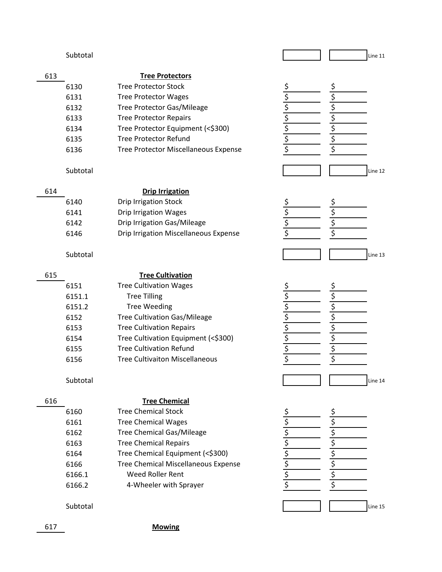#### Subtotal Line 11

|--|

| 6130    | <b>Tree Protector Stock</b>   |  |
|---------|-------------------------------|--|
| 6131    | <b>Tree Protector Wages</b>   |  |
| 6132    | Tree Protector Gas/Mileage    |  |
| 6133    | <b>Tree Protector Repairs</b> |  |
| - - - - |                               |  |

- 6134 \$ \$ Tree Protector Equipment (<\$300)
- 6135 Free Protector Refund Free Protector Refund 6136 Free Protector Miscellaneous Expense S S

613

#### **Drip Irrigation**

| 6140 | <b>Drip Irrigation Stock</b>          |  |
|------|---------------------------------------|--|
| 6141 | Drip Irrigation Wages                 |  |
| 6142 | Drip Irrigation Gas/Mileage           |  |
| 6146 | Drip Irrigation Miscellaneous Expense |  |



| ć |  |
|---|--|
| ¢ |  |
| ć |  |
|   |  |

#### Subtotal Line 13

#### 615 6151 \$ \$ Tree Cultivation Wages  $6151.1$  Tree Tilling  $\zeta$   $\zeta$ 6151.2 Tree Weeding The Service Service Service Service Service Service Service S 6152 \$ \$ Tree Cultivation Gas/Mileage 6153 \$ \$ Tree Cultivation Repairs 6154 Tree Cultivation Equipment (<\$300) \$ \$ 6155 \$ \$ Tree Cultivation Refund 6156 \$ \$ Tree Cultivaiton Miscellaneous **Tree Cultivation**

#### 616

617

#### **Tree Chemical**

| 6160   | <b>Tree Chemical Stock</b>                 |  |
|--------|--------------------------------------------|--|
| 6161   | <b>Tree Chemical Wages</b>                 |  |
| 6162   | <b>Tree Chemical Gas/Mileage</b>           |  |
| 6163   | <b>Tree Chemical Repairs</b>               |  |
| 6164   | Tree Chemical Equipment (<\$300)           |  |
| 6166   | <b>Tree Chemical Miscellaneous Expense</b> |  |
| 6166.1 | Weed Roller Rent                           |  |
| 6166.2 | 4-Wheeler with Sprayer                     |  |
|        |                                            |  |

Subtotal Line 15

**Mowing**









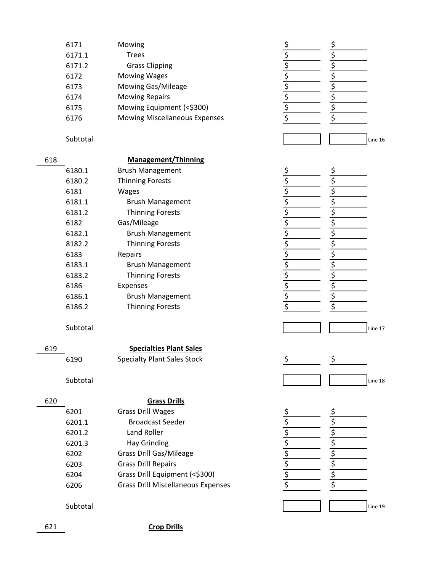| 6171   | Mowing                               | <u>\$</u>                                                                                                           |
|--------|--------------------------------------|---------------------------------------------------------------------------------------------------------------------|
| 6171.1 | <b>Trees</b>                         | $\frac{1}{5}$<br>$\frac{1}{5}$<br>$\frac{1}{5}$<br>$\frac{1}{5}$<br>$\frac{1}{5}$<br>$\frac{1}{5}$<br>$\frac{1}{5}$ |
| 6171.2 | <b>Grass Clipping</b>                |                                                                                                                     |
| 6172   | <b>Mowing Wages</b>                  |                                                                                                                     |
| 6173   | Mowing Gas/Mileage                   |                                                                                                                     |
| 6174   | <b>Mowing Repairs</b>                |                                                                                                                     |
| 6175   | Mowing Equipment (<\$300)            |                                                                                                                     |
| 6176   | <b>Mowing Miscellaneous Expenses</b> |                                                                                                                     |
|        |                                      |                                                                                                                     |

Subtotal Line 16

\$  $\overline{\xi}$  $\overline{\xi}$ \$ \$  $\overline{\xi}$ \$ \$

\$

\$

 $\overline{\xi}$ 

\$

\$

\$

 $\overline{\xi}$ 

\$

 $\overline{\underline{\underline{\zeta}}}$ 

 $\overline{\xi}$ 

\$

 $\overline{\xi}$ 

\$

 $\overline{\xi}$ 

\$

\$

 $\frac{1}{5}$ 

 $\overline{\xi}$ 

\$

 $\overline{\xi}$ 

\$

 $\frac{1}{2}$ 

 $\overline{\xi}$ 

 $\frac{5}{2}$ 

 $\overline{\xi}$ 

\$

\$

\$

\$

\$

\$

\$

\$

\$

\$

\$

\$

\$

\$

\$

\$

\$

\$

\$

\$

\$

#### 618

6180.1 6180.2 6181 6181.1 6181.2 6182 6182.1 8182.2 6183 6183.1 6183.2 6186 6186.1 6186.2 Thinning Forests **Management/Thinning** Expenses Brush Management Brush Management Thinning Forests Thinning Forests Repairs Gas/Mileage Brush Management Brush Management Thinning Forests Thinning Forests Wages Brush Management

#### Subtotal Line 17

| ×<br>۰, | ۰, |  |
|---------|----|--|
|         |    |  |

#### 6190

## Subtotal Line 18

6201

6201.1

6201.2

6201.3

6202

6203

#### 620

| <b>Grass Drills</b>            |
|--------------------------------|
| <b>Grass Drill Wages</b>       |
| Broadcast Seeder               |
| Land Roller                    |
| Hay Grinding                   |
| <b>Grass Drill Gas/Mileage</b> |
| <b>Grass Drill Repairs</b>     |
| Grass Drill Equipment (<\$300) |
|                                |

**Specialties Plant Sales**

Specialty Plant Sales Stock

6204 6206 Grass Drill Miscellaneous Expenses

#### Subtotal and the set of the set of the set of the set of the set of the set of the set of the set of the set o

621 **Crop Drills**

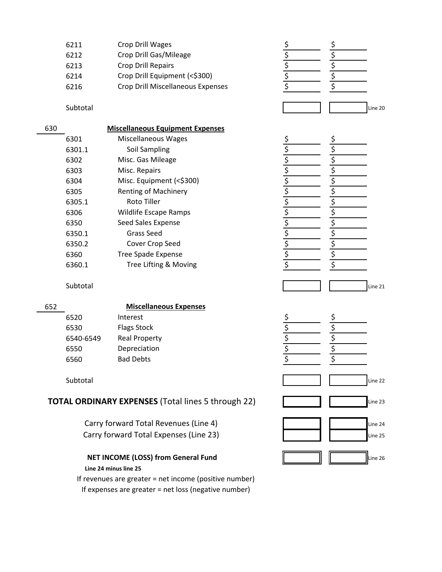| 6211 | Crop Drill Wages                  |  |
|------|-----------------------------------|--|
| 6212 | Crop Drill Gas/Mileage            |  |
| 6213 | <b>Crop Drill Repairs</b>         |  |
| 6214 | Crop Drill Equipment (<\$300)     |  |
| 6216 | Crop Drill Miscellaneous Expenses |  |
|      |                                   |  |

Subtotal and the control of the control of the control of the control of the control of the control of the control of the control of the control of the control of the control of the control of the control of the control of

| 630 |        | <b>Miscellaneous Equipment Expenses</b> |    |
|-----|--------|-----------------------------------------|----|
|     | 6301   | Miscellaneous Wages                     | Ş  |
|     | 6301.1 | Soil Sampling                           | \$ |
|     | 6302   | Misc. Gas Mileage                       |    |
|     | 6303   | Misc. Repairs                           |    |
|     | 6304   | Misc. Equipment (<\$300)                | Ş  |
|     | 6305   | <b>Renting of Machinery</b>             | \$ |
|     | 6305.1 | Roto Tiller                             |    |
|     | 6306   | <b>Wildlife Escape Ramps</b>            |    |
|     | 6350   | Seed Sales Expense                      |    |
|     | 6350.1 | Grass Seed                              |    |
|     | 6350.2 | Cover Crop Seed                         |    |
|     | 6360   | <b>Tree Spade Expense</b>               |    |
|     | 6360.1 | Tree Lifting & Moving                   |    |
|     |        |                                         |    |

| 652 |           | <b>Miscellaneous Expenses</b> |  |
|-----|-----------|-------------------------------|--|
|     | 6520      | Interest                      |  |
|     | 6530      | <b>Flags Stock</b>            |  |
|     | 6540-6549 | <b>Real Property</b>          |  |
|     | 6550      | Depreciation                  |  |
|     | 6560      | <b>Bad Debts</b>              |  |

#### **TOTAL ORDINARY EXPENSES** (Total lines 5 through 22)

#### **NET INCOME (LOSS) from General Fund Line 24 minus line 25**

If expenses are greater = net loss (negative number) If revenues are greater = net income (positive number)

| Subtotal  |                                                 | Line 21 |
|-----------|-------------------------------------------------|---------|
|           | <b>Miscellaneous Expenses</b>                   |         |
| 6520      | Interest                                        |         |
| 6530      | <b>Flags Stock</b>                              |         |
| 6540-6549 | <b>Real Property</b>                            |         |
| 6550      | Depreciation                                    |         |
| 6560      | <b>Bad Debts</b>                                |         |
| Subtotal  |                                                 | Line 22 |
|           | AL ORDINARY EXPENSES (Total lines 5 through 22) | Line 23 |
|           | Carry forward Total Revenues (Line 4)           | Line 24 |
|           | Carry forward Total Expenses (Line 23)          | Line 25 |
|           | <b>NET INCOME (LOSS) from General Fund</b>      | Line 26 |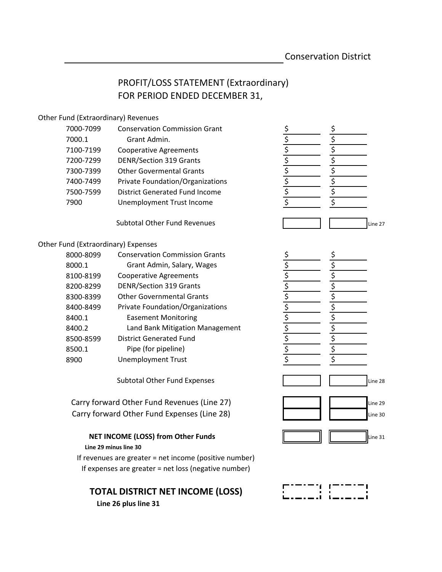#### PROFIT/LOSS STATEMENT (Extraordinary) FOR PERIOD ENDED DECEMBER 31,

#### Other Fund (Extraordinary) Revenues

| 7000-7099 | <b>Conservation Commission Grant</b>    |  |
|-----------|-----------------------------------------|--|
| 7000.1    | Grant Admin.                            |  |
| 7100-7199 | <b>Cooperative Agreements</b>           |  |
| 7200-7299 | <b>DENR/Section 319 Grants</b>          |  |
| 7300-7399 | <b>Other Govermental Grants</b>         |  |
| 7400-7499 | <b>Private Foundation/Organizations</b> |  |
| 7500-7599 | <b>District Generated Fund Income</b>   |  |
| 7900      | Unemployment Trust Income               |  |
|           |                                         |  |

Subtotal Other Fund Revenues

#### Other Fund (Extraordinary) Expenses

| 8000-8099 | <b>Conservation Commission Grants</b> |  |
|-----------|---------------------------------------|--|
| 8000.1    | Grant Admin, Salary, Wages            |  |
| 8100-8199 | <b>Cooperative Agreements</b>         |  |
| 8200-8299 | <b>DENR/Section 319 Grants</b>        |  |
| 8300-8399 | <b>Other Governmental Grants</b>      |  |
| 8400-8499 | Private Foundation/Organizations      |  |
| 8400.1    | <b>Easement Monitoring</b>            |  |
| 8400.2    | Land Bank Mitigation Management       |  |
| 8500-8599 | <b>District Generated Fund</b>        |  |
| 8500.1    | Pipe (for pipeline)                   |  |
| 8900      | <b>Unemployment Trust</b>             |  |

Subtotal Other Fund Expenses

Carry forward Other Fund Revenues (Line 27) Carry forward Other Fund Expenses (Line 28)

#### **NET INCOME (LOSS) from Other Funds**

#### **Line 29 minus line 30**

If revenues are greater = net income (positive number) If expenses are greater = net loss (negative number)

#### **TOTAL DISTRICT NET INCOME (LOSS)**

 **Line 26 plus line 31**



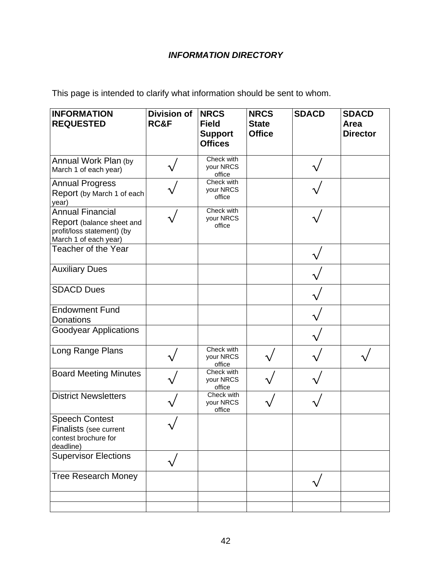#### *INFORMATION DIRECTORY*

This page is intended to clarify what information should be sent to whom.

| <b>INFORMATION</b><br><b>REQUESTED</b>                                                                      | <b>Division of</b><br>RC&F | <b>NRCS</b><br><b>Field</b><br><b>Support</b><br><b>Offices</b> | <b>NRCS</b><br><b>State</b><br><b>Office</b> | <b>SDACD</b> | <b>SDACD</b><br>Area<br><b>Director</b> |
|-------------------------------------------------------------------------------------------------------------|----------------------------|-----------------------------------------------------------------|----------------------------------------------|--------------|-----------------------------------------|
| Annual Work Plan (by<br>March 1 of each year)                                                               |                            | Check with<br>your NRCS<br>office                               |                                              |              |                                         |
| <b>Annual Progress</b><br>Report (by March 1 of each<br>year)                                               |                            | Check with<br>your NRCS<br>office                               |                                              |              |                                         |
| <b>Annual Financial</b><br>Report (balance sheet and<br>profit/loss statement) (by<br>March 1 of each year) |                            | Check with<br>your NRCS<br>office                               |                                              |              |                                         |
| Teacher of the Year                                                                                         |                            |                                                                 |                                              |              |                                         |
| <b>Auxiliary Dues</b>                                                                                       |                            |                                                                 |                                              |              |                                         |
| <b>SDACD Dues</b>                                                                                           |                            |                                                                 |                                              |              |                                         |
| <b>Endowment Fund</b><br>Donations                                                                          |                            |                                                                 |                                              |              |                                         |
| <b>Goodyear Applications</b>                                                                                |                            |                                                                 |                                              |              |                                         |
| Long Range Plans                                                                                            |                            | Check with<br>your NRCS<br>office                               |                                              |              |                                         |
| <b>Board Meeting Minutes</b>                                                                                |                            | Check with<br>your NRCS<br>office                               |                                              |              |                                         |
| <b>District Newsletters</b>                                                                                 |                            | Check with<br>your NRCS<br>office                               |                                              |              |                                         |
| <b>Speech Contest</b><br>Finalists (see current<br>contest brochure for<br>deadline)                        |                            |                                                                 |                                              |              |                                         |
| <b>Supervisor Elections</b>                                                                                 |                            |                                                                 |                                              |              |                                         |
| <b>Tree Research Money</b>                                                                                  |                            |                                                                 |                                              |              |                                         |
|                                                                                                             |                            |                                                                 |                                              |              |                                         |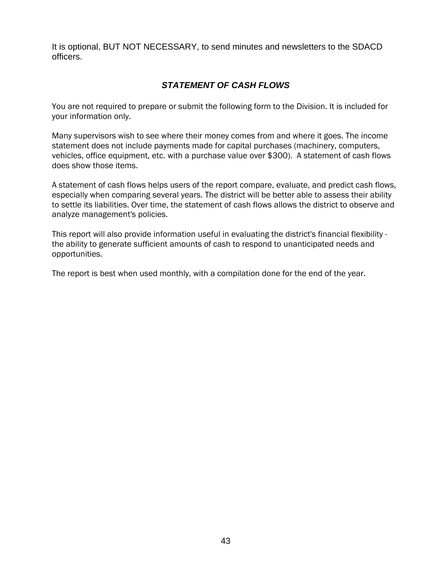It is optional, BUT NOT NECESSARY, to send minutes and newsletters to the SDACD officers.

#### *STATEMENT OF CASH FLOWS*

You are not required to prepare or submit the following form to the Division. It is included for your information only.

Many supervisors wish to see where their money comes from and where it goes. The income statement does not include payments made for capital purchases (machinery, computers, vehicles, office equipment, etc. with a purchase value over \$300). A statement of cash flows does show those items.

A statement of cash flows helps users of the report compare, evaluate, and predict cash flows, especially when comparing several years. The district will be better able to assess their ability to settle its liabilities. Over time, the statement of cash flows allows the district to observe and analyze management's policies.

This report will also provide information useful in evaluating the district's financial flexibility the ability to generate sufficient amounts of cash to respond to unanticipated needs and opportunities.

The report is best when used monthly, with a compilation done for the end of the year.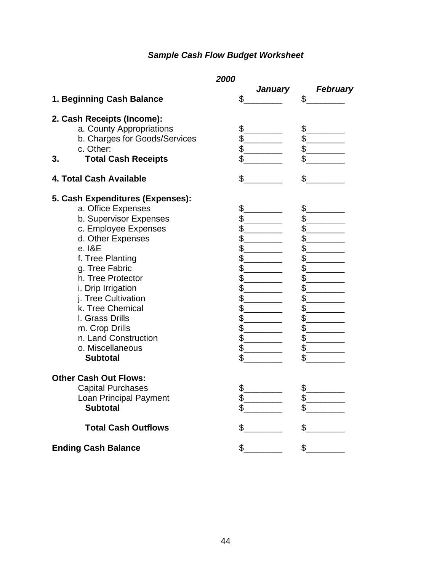### *Sample Cash Flow Budget Worksheet*

|                                  | 2000          |                       |
|----------------------------------|---------------|-----------------------|
| 1. Beginning Cash Balance        | January<br>\$ | <b>February</b><br>\$ |
| 2. Cash Receipts (Income):       |               |                       |
| a. County Appropriations         | \$.           | \$                    |
| b. Charges for Goods/Services    | $\frac{2}{3}$ | \$                    |
| c. Other:                        | \$            | \$                    |
| <b>Total Cash Receipts</b><br>3. | \$            | \$                    |
| 4. Total Cash Available          | \$            | \$                    |
| 5. Cash Expenditures (Expenses): |               |                       |
| a. Office Expenses               | \$.           | \$                    |
| b. Supervisor Expenses           | \$            | \$                    |
| c. Employee Expenses             | \$.           | \$                    |
| d. Other Expenses                | \$            | \$                    |
| e. I&E                           | \$            | \$                    |
| f. Tree Planting                 | \$            | \$                    |
| g. Tree Fabric                   | \$            | \$                    |
| h. Tree Protector                | \$            | \$                    |
| i. Drip Irrigation               | \$            | \$                    |
| j. Tree Cultivation              | \$            | \$                    |
| k. Tree Chemical                 | \$            | \$                    |
| I. Grass Drills                  | \$            | \$                    |
| m. Crop Drills                   | \$.           | \$                    |
| n. Land Construction             | $\frac{2}{2}$ | \$                    |
| o. Miscellaneous                 | \$            | \$                    |
| <b>Subtotal</b>                  | \$            | \$                    |
| <b>Other Cash Out Flows:</b>     |               |                       |
| <b>Capital Purchases</b>         | \$.           | \$                    |
| Loan Principal Payment           | ¢<br>Ψ.       | ¢                     |
| <b>Subtotal</b>                  | \$            | \$                    |
| <b>Total Cash Outflows</b>       | \$            | \$                    |
| <b>Ending Cash Balance</b>       | $\frac{1}{2}$ | \$                    |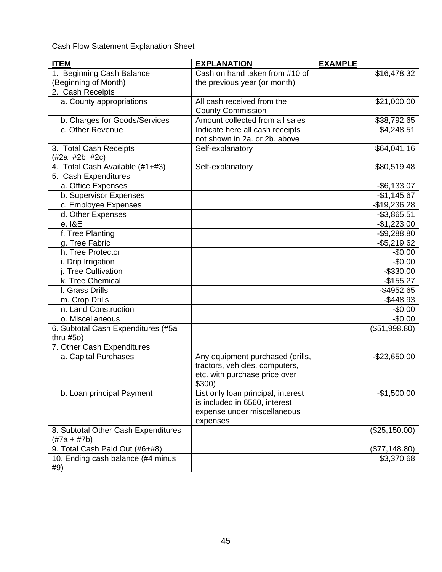Cash Flow Statement Explanation Sheet

| <b>ITEM</b>                               | <b>EXPLANATION</b>                                                                                             | <b>EXAMPLE</b> |
|-------------------------------------------|----------------------------------------------------------------------------------------------------------------|----------------|
| 1. Beginning Cash Balance                 | Cash on hand taken from #10 of                                                                                 | \$16,478.32    |
| (Beginning of Month)                      | the previous year (or month)                                                                                   |                |
| 2. Cash Receipts                          |                                                                                                                |                |
| a. County appropriations                  | All cash received from the                                                                                     | \$21,000.00    |
|                                           | <b>County Commission</b>                                                                                       |                |
| b. Charges for Goods/Services             | Amount collected from all sales                                                                                | \$38,792.65    |
| c. Other Revenue                          | Indicate here all cash receipts                                                                                | \$4,248.51     |
|                                           | not shown in 2a. or 2b. above                                                                                  |                |
| 3. Total Cash Receipts<br>$(#2a+#2b+#2c)$ | Self-explanatory                                                                                               | \$64,041.16    |
| 4. Total Cash Available (#1+#3)           | Self-explanatory                                                                                               | \$80,519.48    |
| 5. Cash Expenditures                      |                                                                                                                |                |
| a. Office Expenses                        |                                                                                                                | $-$ \$6,133.07 |
| b. Supervisor Expenses                    |                                                                                                                | $-$1,145.67$   |
| c. Employee Expenses                      |                                                                                                                | $-$19,236.28$  |
| d. Other Expenses                         |                                                                                                                | $-$3,865.51$   |
| e. I&E                                    |                                                                                                                | $-$1,223.00$   |
| f. Tree Planting                          |                                                                                                                | $-$9,288.80$   |
| g. Tree Fabric                            |                                                                                                                | $-$5,219.62$   |
| h. Tree Protector                         |                                                                                                                | $-$0.00$       |
| i. Drip Irrigation                        |                                                                                                                | $-$0.00$       |
| Tree Cultivation                          |                                                                                                                | $-$330.00$     |
| k. Tree Chemical                          |                                                                                                                | $-$155.27$     |
| I. Grass Drills                           |                                                                                                                | $-$4952.65$    |
| m. Crop Drills                            |                                                                                                                | $-$448.93$     |
| n. Land Construction                      |                                                                                                                | $-$0.00$       |
| o. Miscellaneous                          |                                                                                                                | $-$0.00$       |
| 6. Subtotal Cash Expenditures (#5a        |                                                                                                                | (\$51,998.80)  |
| thru $#50)$                               |                                                                                                                |                |
| 7. Other Cash Expenditures                |                                                                                                                |                |
| a. Capital Purchases                      | Any equipment purchased (drills,<br>tractors, vehicles, computers,<br>etc. with purchase price over<br>\$300)  | $-$23,650.00$  |
| b. Loan principal Payment                 | List only loan principal, interest<br>is included in 6560, interest<br>expense under miscellaneous<br>expenses | $-$1,500.00$   |
| 8. Subtotal Other Cash Expenditures       |                                                                                                                | (\$25,150.00)  |
| $(\#7a + \#7b)$                           |                                                                                                                |                |
| 9. Total Cash Paid Out (#6+#8)            |                                                                                                                | (\$77,148.80)  |
| 10. Ending cash balance (#4 minus<br>#9)  |                                                                                                                | \$3,370.68     |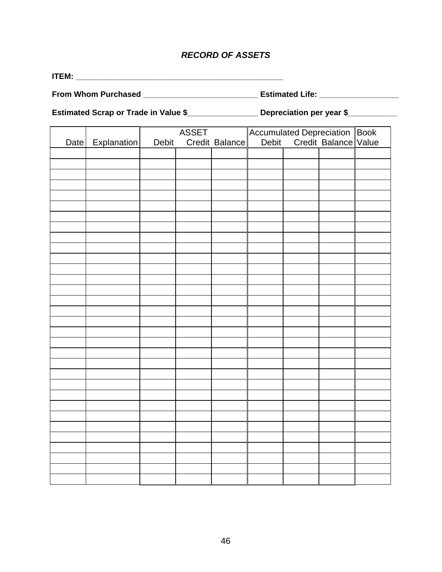#### *RECORD OF ASSETS*

**ITEM: \_\_\_\_\_\_\_\_\_\_\_\_\_\_\_\_\_\_\_\_\_\_\_\_\_\_\_\_\_\_\_\_\_\_\_\_\_\_\_\_\_\_\_\_\_\_\_** 

**From Whom Purchased \_\_\_\_\_\_\_\_\_\_\_\_\_\_\_\_\_\_\_\_\_\_\_\_\_\_ Estimated Life: \_\_\_\_\_\_\_\_\_\_\_\_\_\_\_\_\_\_** 

Estimated Scrap or Trade in Value \$\_\_\_\_\_\_\_\_\_\_\_\_\_\_\_\_\_\_\_\_ Depreciation per year \$\_\_\_\_\_\_\_\_\_

|      |             |       | <b>ASSET</b> |                |                                                             |  |
|------|-------------|-------|--------------|----------------|-------------------------------------------------------------|--|
| Date | Explanation | Debit |              | Credit Balance | Accumulated Depreciation Book<br>Debit Credit Balance Value |  |
|      |             |       |              |                |                                                             |  |
|      |             |       |              |                |                                                             |  |
|      |             |       |              |                |                                                             |  |
|      |             |       |              |                |                                                             |  |
|      |             |       |              |                |                                                             |  |
|      |             |       |              |                |                                                             |  |
|      |             |       |              |                |                                                             |  |
|      |             |       |              |                |                                                             |  |
|      |             |       |              |                |                                                             |  |
|      |             |       |              |                |                                                             |  |
|      |             |       |              |                |                                                             |  |
|      |             |       |              |                |                                                             |  |
|      |             |       |              |                |                                                             |  |
|      |             |       |              |                |                                                             |  |
|      |             |       |              |                |                                                             |  |
|      |             |       |              |                |                                                             |  |
|      |             |       |              |                |                                                             |  |
|      |             |       |              |                |                                                             |  |
|      |             |       |              |                |                                                             |  |
|      |             |       |              |                |                                                             |  |
|      |             |       |              |                |                                                             |  |
|      |             |       |              |                |                                                             |  |
|      |             |       |              |                |                                                             |  |
|      |             |       |              |                |                                                             |  |
|      |             |       |              |                |                                                             |  |
|      |             |       |              |                |                                                             |  |
|      |             |       |              |                |                                                             |  |
|      |             |       |              |                |                                                             |  |
|      |             |       |              |                |                                                             |  |
|      |             |       |              |                |                                                             |  |
|      |             |       |              |                |                                                             |  |
|      |             |       |              |                |                                                             |  |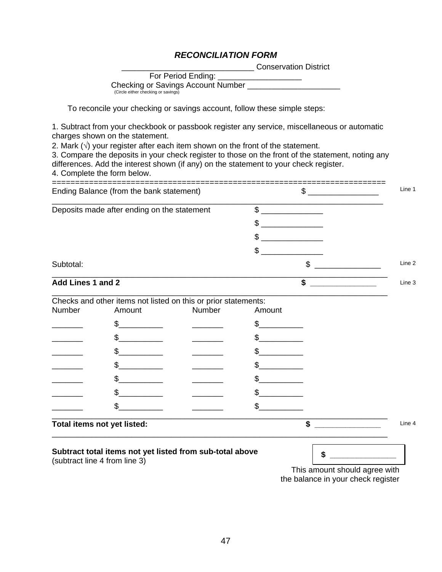#### *RECONCILIATION FORM*

\_\_\_\_\_\_\_\_\_\_\_\_\_\_\_\_\_\_\_\_\_\_\_\_\_\_\_\_\_\_ Conservation District

| For Period Ending:                  |
|-------------------------------------|
| Checking or Savings Account Number  |
| (Circle either checking or savings) |

To reconcile your checking or savings account, follow these simple steps:

1. Subtract from your checkbook or passbook register any service, miscellaneous or automatic charges shown on the statement.

2. Mark  $(\sqrt{ } )$  your register after each item shown on the front of the statement.

3. Compare the deposits in your check register to those on the front of the statement, noting any differences. Add the interest shown (if any) on the statement to your check register.

4. Complete the form below.

| Ending Balance (from the bank statement)    |                             |                                                                | \$<br>Line 1 |              |
|---------------------------------------------|-----------------------------|----------------------------------------------------------------|--------------|--------------|
| Deposits made after ending on the statement |                             | $\mathbb{S}$                                                   |              |              |
|                                             |                             |                                                                | \$           |              |
|                                             |                             |                                                                | \$           |              |
|                                             |                             |                                                                | \$           |              |
| Subtotal:                                   |                             |                                                                | \$<br>Line 2 |              |
| Add Lines 1 and 2                           |                             |                                                                | \$<br>Line 3 |              |
|                                             |                             | Checks and other items not listed on this or prior statements: |              |              |
| Number                                      | Amount                      | Number                                                         | Amount       |              |
|                                             | \$                          |                                                                | \$           |              |
|                                             | \$                          |                                                                | \$           |              |
|                                             | \$                          |                                                                | \$           |              |
|                                             |                             |                                                                |              |              |
|                                             |                             |                                                                |              |              |
|                                             | \$                          |                                                                |              |              |
|                                             |                             |                                                                | \$           |              |
|                                             | Total items not yet listed: |                                                                |              | \$<br>Line 4 |

#### **Subtract total items not yet listed from sub-total above**

(subtract line 4 from line 3)

This amount should agree with the balance in your check register

 **\$ \_\_\_\_\_\_\_\_\_\_\_\_\_\_\_**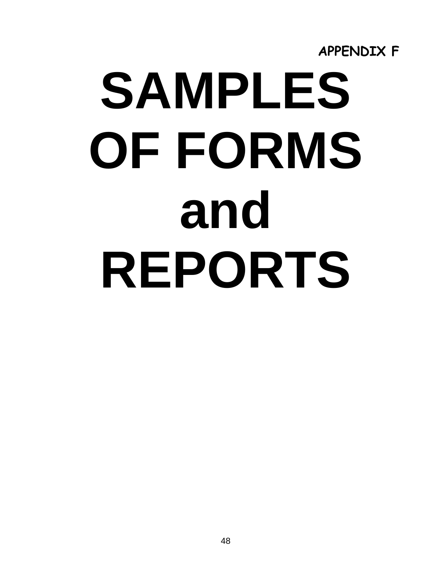

# **SAMPLES OF FORMS and REPORTS**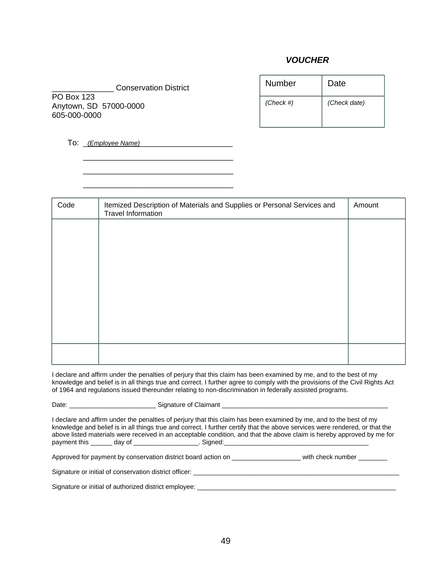#### *VOUCHER*

\_\_\_\_\_\_\_\_\_\_\_\_\_\_ Conservation District PO Box 123 Anytown, SD 57000-0000 605-000-0000

| Number    | Date         |
|-----------|--------------|
| (Check #) | (Check date) |

To: \_*(Employee Name)*\_\_\_\_\_\_\_\_\_\_\_\_\_\_\_\_\_\_\_\_\_

 $\overline{\phantom{a}}$  ,  $\overline{\phantom{a}}$  ,  $\overline{\phantom{a}}$  ,  $\overline{\phantom{a}}$  ,  $\overline{\phantom{a}}$  ,  $\overline{\phantom{a}}$  ,  $\overline{\phantom{a}}$  ,  $\overline{\phantom{a}}$  ,  $\overline{\phantom{a}}$  ,  $\overline{\phantom{a}}$  ,  $\overline{\phantom{a}}$  ,  $\overline{\phantom{a}}$  ,  $\overline{\phantom{a}}$  ,  $\overline{\phantom{a}}$  ,  $\overline{\phantom{a}}$  ,  $\overline{\phantom{a}}$  $\frac{1}{\sqrt{2}}$  ,  $\frac{1}{\sqrt{2}}$  ,  $\frac{1}{\sqrt{2}}$  ,  $\frac{1}{\sqrt{2}}$  ,  $\frac{1}{\sqrt{2}}$  ,  $\frac{1}{\sqrt{2}}$  ,  $\frac{1}{\sqrt{2}}$  ,  $\frac{1}{\sqrt{2}}$  ,  $\frac{1}{\sqrt{2}}$  ,  $\frac{1}{\sqrt{2}}$  ,  $\frac{1}{\sqrt{2}}$  ,  $\frac{1}{\sqrt{2}}$  ,  $\frac{1}{\sqrt{2}}$  ,  $\frac{1}{\sqrt{2}}$  ,  $\frac{1}{\sqrt{2}}$  $\overline{\phantom{a}}$  ,  $\overline{\phantom{a}}$  ,  $\overline{\phantom{a}}$  ,  $\overline{\phantom{a}}$  ,  $\overline{\phantom{a}}$  ,  $\overline{\phantom{a}}$  ,  $\overline{\phantom{a}}$  ,  $\overline{\phantom{a}}$  ,  $\overline{\phantom{a}}$  ,  $\overline{\phantom{a}}$  ,  $\overline{\phantom{a}}$  ,  $\overline{\phantom{a}}$  ,  $\overline{\phantom{a}}$  ,  $\overline{\phantom{a}}$  ,  $\overline{\phantom{a}}$  ,  $\overline{\phantom{a}}$ 

| Code | Itemized Description of Materials and Supplies or Personal Services and<br><b>Travel Information</b> | Amount |
|------|------------------------------------------------------------------------------------------------------|--------|
|      |                                                                                                      |        |
|      |                                                                                                      |        |
|      |                                                                                                      |        |
|      |                                                                                                      |        |
|      |                                                                                                      |        |
|      |                                                                                                      |        |
|      |                                                                                                      |        |

I declare and affirm under the penalties of perjury that this claim has been examined by me, and to the best of my knowledge and belief is in all things true and correct. I further agree to comply with the provisions of the Civil Rights Act of 1964 and regulations issued thereunder relating to non-discrimination in federally assisted programs.

Date: example and the Signature of Claimant  $\alpha$ 

I declare and affirm under the penalties of perjury that this claim has been examined by me, and to the best of my knowledge and belief is in all things true and correct. I further certify that the above services were rendered, or that the above listed materials were received in an acceptable condition, and that the above claim is hereby approved by me for payment this day of example and signed:

Approved for payment by conservation district board action on \_\_\_\_\_\_\_\_\_\_\_\_\_\_\_\_\_\_\_\_\_\_\_\_\_ with check number \_\_\_\_\_\_\_\_\_

Signature or initial of conservation district officer: \_\_\_\_\_\_\_\_\_\_\_\_\_\_\_\_\_\_\_\_\_\_\_\_\_\_\_\_\_\_\_\_\_\_\_\_\_\_\_\_\_\_\_\_\_\_\_\_\_\_\_\_\_\_\_\_\_

Signature or initial of authorized district employee: \_\_\_\_\_\_\_\_\_\_\_\_\_\_\_\_\_\_\_\_\_\_\_\_\_\_\_\_\_\_\_\_\_\_\_\_\_\_\_\_\_\_\_\_\_\_\_\_\_\_\_\_\_\_\_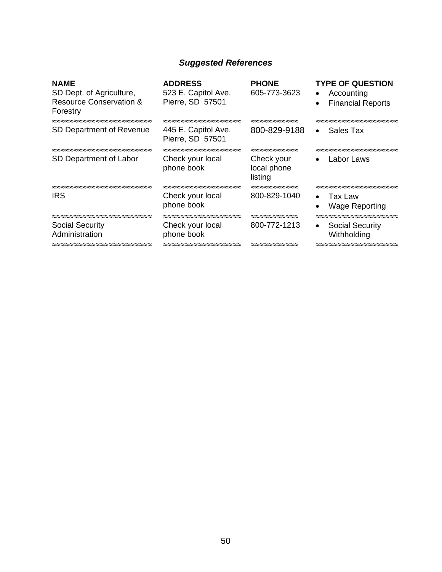#### *Suggested References*

| 523 E. Capitol Ave.<br>Pierre, SD 57501 |                                                                       | <b>TYPE OF QUESTION</b><br>Accounting<br>$\bullet$<br><b>Financial Reports</b><br>$\bullet$                                                                                                                                                                                                                                                                                     |
|-----------------------------------------|-----------------------------------------------------------------------|---------------------------------------------------------------------------------------------------------------------------------------------------------------------------------------------------------------------------------------------------------------------------------------------------------------------------------------------------------------------------------|
| 445 E. Capitol Ave.<br>Pierre, SD 57501 |                                                                       | Sales Tax<br>$\bullet$                                                                                                                                                                                                                                                                                                                                                          |
| Check your local<br>phone book          |                                                                       | :≈≈≈≈≈≈≈≈≈≈≈≈≈≈≈<br>Labor Laws                                                                                                                                                                                                                                                                                                                                                  |
| Check your local<br>phone book          |                                                                       | Tax Law<br><b>Wage Reporting</b>                                                                                                                                                                                                                                                                                                                                                |
| Check your local<br>phone book          | $\approx$ $\approx$ $\approx$ $\approx$ $\approx$ $\approx$ $\approx$ | <b>Social Security</b><br>$\bullet$<br>Withholding                                                                                                                                                                                                                                                                                                                              |
|                                         |                                                                       | <b>ADDRESS</b><br><b>PHONE</b><br>605-773-3623<br>$\approx$ $\approx$ $\approx$ $\approx$ $\approx$ $\approx$ $\approx$<br>800-829-9188<br>$\approx$ $\approx$ $\approx$ $\approx$ $\approx$ $\approx$ $\approx$<br>Check your<br>local phone<br>listing<br>≈≈≈≈≈≈≈≈≈≈<br>800-829-1040<br>$\approx$ $\approx$ $\approx$ $\approx$ $\approx$ $\approx$ $\approx$<br>800-772-1213 |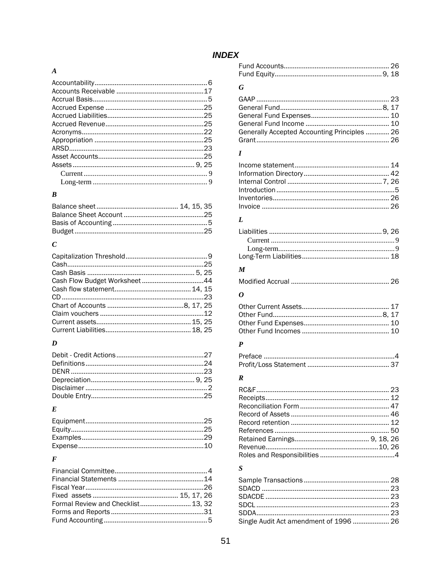#### **INDEX**

#### $\boldsymbol{A}$

#### $\boldsymbol{B}$

#### $\boldsymbol{C}$

#### $\boldsymbol{D}$

#### $\boldsymbol{E}$

#### $\boldsymbol{F}$

| Formal Review and Checklist 13, 32 |  |
|------------------------------------|--|
|                                    |  |
|                                    |  |

#### $\boldsymbol{G}$

| Generally Accepted Accounting Principles  26 |  |
|----------------------------------------------|--|
|                                              |  |

#### $\boldsymbol{I}$

#### $\boldsymbol{L}$

#### $\pmb{M}$

|--|--|--|

#### $\boldsymbol{o}$

#### $\boldsymbol{P}$  $\overline{a}$

#### $\boldsymbol{R}$

#### $\boldsymbol{S}$

| Single Audit Act amendment of 1996  26 |  |
|----------------------------------------|--|